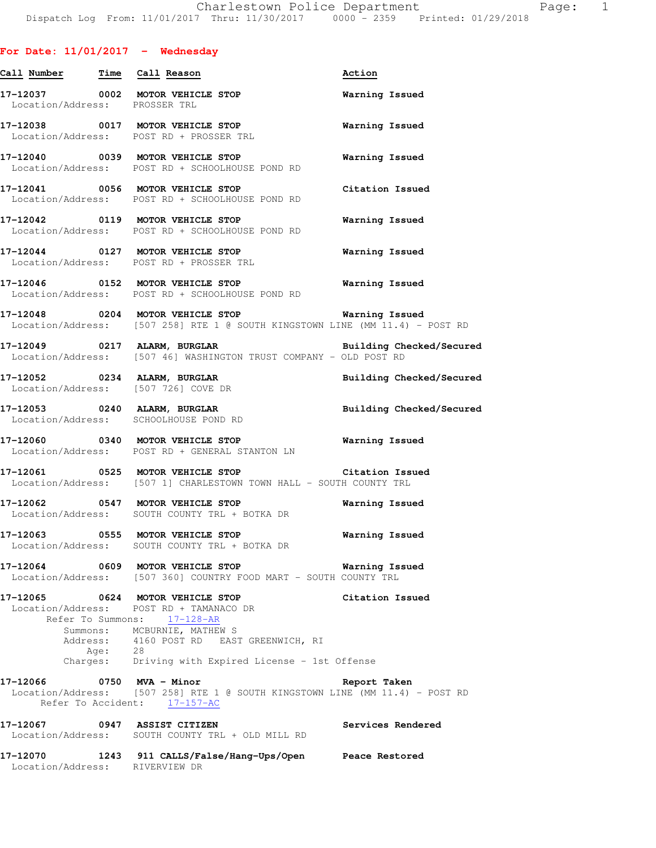| Call Number Time Call Reason  |                                                                                                                                           | Action                          |
|-------------------------------|-------------------------------------------------------------------------------------------------------------------------------------------|---------------------------------|
| Location/Address: PROSSER TRL | 17-12037 0002 MOTOR VEHICLE STOP                                                                                                          | Warning Issued                  |
|                               | 17-12038 0017 MOTOR VEHICLE STOP<br>Location/Address: POST RD + PROSSER TRL                                                               | <b>Warning Issued</b>           |
|                               | 17-12040 0039 MOTOR VEHICLE STOP<br>Location/Address: POST RD + SCHOOLHOUSE POND RD                                                       | <b>Warning Issued</b>           |
|                               | 17-12041 0056 MOTOR VEHICLE STOP<br>Location/Address: POST RD + SCHOOLHOUSE POND RD                                                       | Citation Issued                 |
|                               | 17-12042 0119 MOTOR VEHICLE STOP<br>Location/Address: POST RD + SCHOOLHOUSE POND RD                                                       | Warning Issued                  |
|                               | 17-12044 0127 MOTOR VEHICLE STOP<br>Location/Address: POST RD + PROSSER TRL                                                               | Warning Issued                  |
|                               | 17-12046 0152 MOTOR VEHICLE STOP<br>Location/Address: POST RD + SCHOOLHOUSE POND RD                                                       | <b>Warning Issued</b>           |
|                               | 17-12048  0204 MOTOR VEHICLE STOP    Varning Issued<br>Location/Address: [507 258] RTE 1 @ SOUTH KINGSTOWN LINE (MM 11.4) - POST RD       |                                 |
|                               | 17-12049 0217 ALARM, BURGLAR<br>Location/Address: [507 46] WASHINGTON TRUST COMPANY - OLD POST RD                                         | <b>Building Checked/Secured</b> |
|                               | 17-12052 0234 ALARM, BURGLAR<br>Location/Address: [507 726] COVE DR                                                                       | Building Checked/Secured        |
|                               | 17-12053 0240 ALARM, BURGLAR<br>Location/Address: SCHOOLHOUSE POND RD                                                                     | <b>Building Checked/Secured</b> |
|                               | 17-12060 0340 MOTOR VEHICLE STOP 6 Warning Issued<br>Location/Address: POST RD + GENERAL STANTON LN                                       |                                 |
|                               | 17-12061 0525 MOTOR VEHICLE STOP<br>Location/Address: [507 1] CHARLESTOWN TOWN HALL - SOUTH COUNTY TRL                                    | Citation Issued                 |
|                               | Location/Address: SOUTH COUNTY TRL + BOTKA DR                                                                                             |                                 |
|                               | 17-12063 0555 MOTOR VEHICLE STOP<br>Location/Address: SOUTH COUNTY TRL + BOTKA DR                                                         | <b>Warning Issued</b>           |
|                               | $17-12064$ 0609 MOTOR VEHICLE STOP<br>Location/Address: [507 360] COUNTRY FOOD MART - SOUTH COUNTY TRL                                    | Warning Issued                  |
|                               | 17-12065 0624 MOTOR VEHICLE STOP<br>Location/Address: POST RD + TAMANACO DR<br>Refer To Summons: 17-128-AR                                | Citation Issued                 |
|                               | Summons: MCBURNIE, MATHEW S<br>Address: 4160 POST RD EAST GREENWICH, RI<br>Age: 28<br>Charges: Driving with Expired License - 1st Offense |                                 |
| 17-12066 0750 MVA - Minor     | Location/Address: [507 258] RTE 1 @ SOUTH KINGSTOWN LINE (MM 11.4) - POST RD<br>Refer To Accident: 17-157-AC                              | Report Taken                    |
|                               | 17-12067  0947  ASSIST CITIZEN<br>Location/Address: SOUTH COUNTY TRL + OLD MILL RD                                                        | Services Rendered               |
|                               | 17-12070 1243 911 CALLS/False/Hang-Ups/Open Peace Restored<br>Location/Address: RIVERVIEW DR                                              |                                 |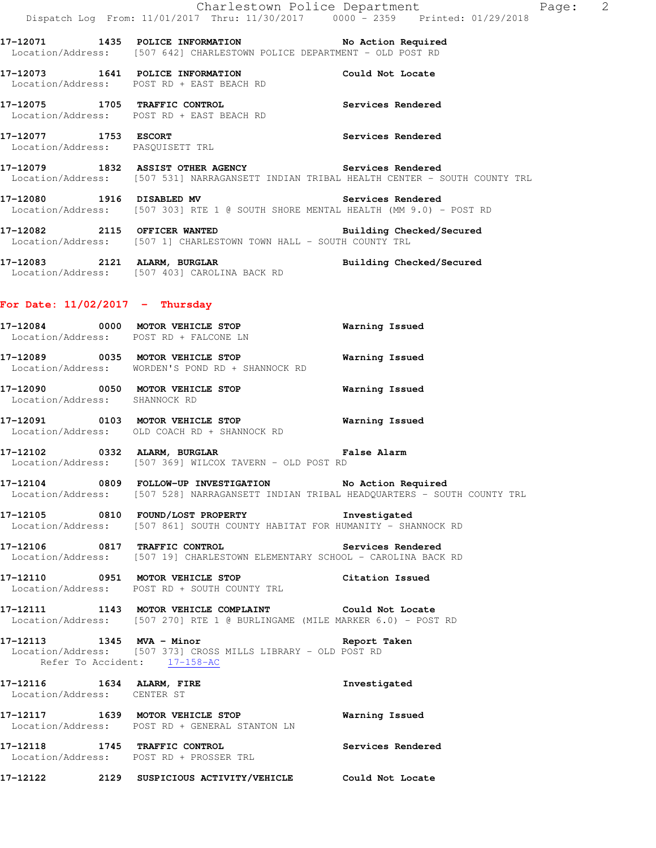**17-12071 1435 POLICE INFORMATION No Action Required**  Location/Address: [507 642] CHARLESTOWN POLICE DEPARTMENT - OLD POST RD

**17-12073 1641 POLICE INFORMATION Could Not Locate**  Location/Address: POST RD + EAST BEACH RD

**17-12075 1705 TRAFFIC CONTROL Services Rendered**  Location/Address: POST RD + EAST BEACH RD

**17-12077 1753 ESCORT Services Rendered**  Location/Address: PASQUISETT TRL

**17-12079 1832 ASSIST OTHER AGENCY Services Rendered**  Location/Address: [507 531] NARRAGANSETT INDIAN TRIBAL HEALTH CENTER - SOUTH COUNTY TRL

**17-12080 1916 DISABLED MV Services Rendered**  Location/Address: [507 303] RTE 1 @ SOUTH SHORE MENTAL HEALTH (MM 9.0) - POST RD

**17-12082 2115 OFFICER WANTED Building Checked/Secured**  Location/Address: [507 1] CHARLESTOWN TOWN HALL - SOUTH COUNTY TRL

**17-12083 2121 ALARM, BURGLAR Building Checked/Secured**  Location/Address: [507 403] CAROLINA BACK RD

### **For Date: 11/02/2017 - Thursday**

| 17-12084<br>Location/Address: | 0000 | MOTOR VEHICLE STOP<br>POST RD + FALCONE LN | Warning Issued |
|-------------------------------|------|--------------------------------------------|----------------|
| 17–12089                      | 0035 | MOTOR VEHICLE STOP                         | Warning Issued |
| Location/Address:             |      | WORDEN'S POND RD + SHANNOCK RD             |                |

**17-12090 0050 MOTOR VEHICLE STOP Warning Issued**  Location/Address: SHANNOCK RD

**17-12091 0103 MOTOR VEHICLE STOP Warning Issued**  Location/Address: OLD COACH RD + SHANNOCK RD

**17-12102 0332 ALARM, BURGLAR False Alarm**  Location/Address: [507 369] WILCOX TAVERN - OLD POST RD

**17-12104 0809 FOLLOW-UP INVESTIGATION No Action Required**  Location/Address: [507 528] NARRAGANSETT INDIAN TRIBAL HEADQUARTERS - SOUTH COUNTY TRL

**17-12105 0810 FOUND/LOST PROPERTY Investigated**  Location/Address: [507 861] SOUTH COUNTY HABITAT FOR HUMANITY - SHANNOCK RD

**17-12106 0817 TRAFFIC CONTROL Services Rendered**  Location/Address: [507 19] CHARLESTOWN ELEMENTARY SCHOOL - CAROLINA BACK RD

**17-12110 0951 MOTOR VEHICLE STOP Citation Issued**  Location/Address: POST RD + SOUTH COUNTY TRL

**17-12111 1143 MOTOR VEHICLE COMPLAINT Could Not Locate**  Location/Address: [507 270] RTE 1 @ BURLINGAME (MILE MARKER 6.0) - POST RD

**17-12113 1345 MVA - Minor Report Taken**  Location/Address: [507 373] CROSS MILLS LIBRARY - OLD POST RD Refer To Accident: 17-158-AC

**17-12116 1634 ALARM, FIRE Investigated**  Location/Address: CENTER ST

**17-12117 1639 MOTOR VEHICLE STOP Warning Issued**  Location/Address: POST RD + GENERAL STANTON LN

**17-12118 1745 TRAFFIC CONTROL Services Rendered**  Location/Address: POST RD + PROSSER TRL

**17-12122 2129 SUSPICIOUS ACTIVITY/VEHICLE Could Not Locate**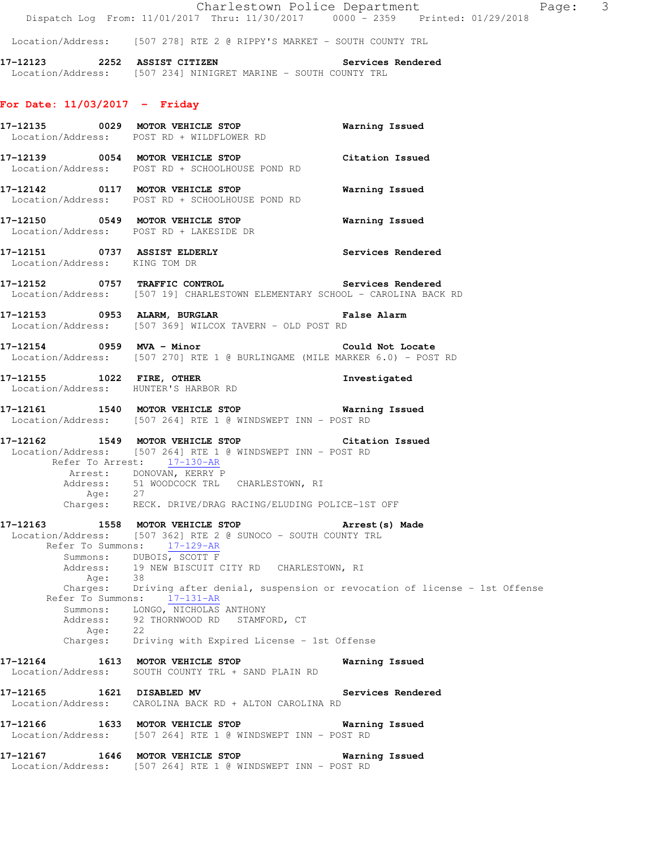Location/Address: [507 278] RTE 2 @ RIPPY'S MARKET - SOUTH COUNTY TRL

**17-12123 2252 ASSIST CITIZEN Services Rendered**  Location/Address: [507 234] NINIGRET MARINE - SOUTH COUNTY TRL

### **For Date: 11/03/2017 - Friday**

|                               | 17-12135 0029 MOTOR VEHICLE STOP<br>Location/Address: POST RD + WILDFLOWER RD                                                                                                                                                                                                                                                                                                                                                                                                                                        | Warning Issued    |
|-------------------------------|----------------------------------------------------------------------------------------------------------------------------------------------------------------------------------------------------------------------------------------------------------------------------------------------------------------------------------------------------------------------------------------------------------------------------------------------------------------------------------------------------------------------|-------------------|
|                               | 17-12139 0054 MOTOR VEHICLE STOP<br>Location/Address: POST RD + SCHOOLHOUSE POND RD                                                                                                                                                                                                                                                                                                                                                                                                                                  | Citation Issued   |
|                               | 17-12142 0117 MOTOR VEHICLE STOP<br>Location/Address: POST RD + SCHOOLHOUSE POND RD                                                                                                                                                                                                                                                                                                                                                                                                                                  | Warning Issued    |
|                               | 17-12150 0549 MOTOR VEHICLE STOP<br>Location/Address: POST RD + LAKESIDE DR                                                                                                                                                                                                                                                                                                                                                                                                                                          | Warning Issued    |
| Location/Address: KING TOM DR | 17-12151 0737 ASSIST ELDERLY                                                                                                                                                                                                                                                                                                                                                                                                                                                                                         | Services Rendered |
|                               | 17-12152 0757 TRAFFIC CONTROL Services Rendered<br>Location/Address: [507 19] CHARLESTOWN ELEMENTARY SCHOOL - CAROLINA BACK RD                                                                                                                                                                                                                                                                                                                                                                                       |                   |
|                               | 17-12153 0953 ALARM, BURGLAR CHART False Alarm<br>Location/Address: [507 369] WILCOX TAVERN - OLD POST RD                                                                                                                                                                                                                                                                                                                                                                                                            |                   |
| 17-12154 0959 MVA - Minor     | Location/Address: [507 270] RTE 1 @ BURLINGAME (MILE MARKER 6.0) - POST RD                                                                                                                                                                                                                                                                                                                                                                                                                                           | Could Not Locate  |
|                               | 17-12155 1022 FIRE, OTHER<br>Location/Address: HUNTER'S HARBOR RD                                                                                                                                                                                                                                                                                                                                                                                                                                                    | Investigated      |
|                               | 17-12161 1540 MOTOR VEHICLE STOP 6 Warning Issued<br>Location/Address: [507 264] RTE 1 @ WINDSWEPT INN - POST RD                                                                                                                                                                                                                                                                                                                                                                                                     |                   |
|                               | 17-12162 1549 MOTOR VEHICLE STOP Citation Issued<br>Location/Address: [507 264] RTE 1 @ WINDSWEPT INN - POST RD<br>Refer To Arrest: 17-130-AR<br>Arrest: DONOVAN, KERRY P<br>Address: 51 WOODCOCK TRL CHARLESTOWN, RI<br>Age: 27<br>Charges: RECK. DRIVE/DRAG RACING/ELUDING POLICE-1ST OFF                                                                                                                                                                                                                          |                   |
| Address:                      | 17-12163 1558 MOTOR VEHICLE STOP 17-12163 Made<br>Location/Address: [507 362] RTE 2 @ SUNOCO - SOUTH COUNTY TRL<br>Refer To Summons: 17-129-AR<br>Summons: DUBOIS, SCOTT F<br>Address: 19 NEW BISCUIT CITY RD CHARLESTOWN, RI<br>Age: 38<br>Charges: Driving after denial, suspension or revocation of license - 1st Offense<br>Refer To Summons: $\frac{17-131-AR}{17}$<br>Summons: LONGO, NICHOLAS ANTHONY<br>ress: 92 THORNWOOD RD STAMFORD, CT<br>Age: 22<br>Charges: Driving with Expired License - 1st Offense |                   |
|                               | 17-12164 1613 MOTOR VEHICLE STOP<br>Location/Address: SOUTH COUNTY TRL + SAND PLAIN RD                                                                                                                                                                                                                                                                                                                                                                                                                               | Warning Issued    |
| 17-12165 1621 DISABLED MV     | Location/Address: CAROLINA BACK RD + ALTON CAROLINA RD                                                                                                                                                                                                                                                                                                                                                                                                                                                               | Services Rendered |
|                               | 17-12166 1633 MOTOR VEHICLE STOP<br>Location/Address: [507 264] RTE 1 @ WINDSWEPT INN - POST RD                                                                                                                                                                                                                                                                                                                                                                                                                      | Warning Issued    |
|                               | 17-12167 1646 MOTOR VEHICLE STOP<br>Location/Address: [507 264] RTE 1 @ WINDSWEPT INN - POST RD                                                                                                                                                                                                                                                                                                                                                                                                                      | Warning Issued    |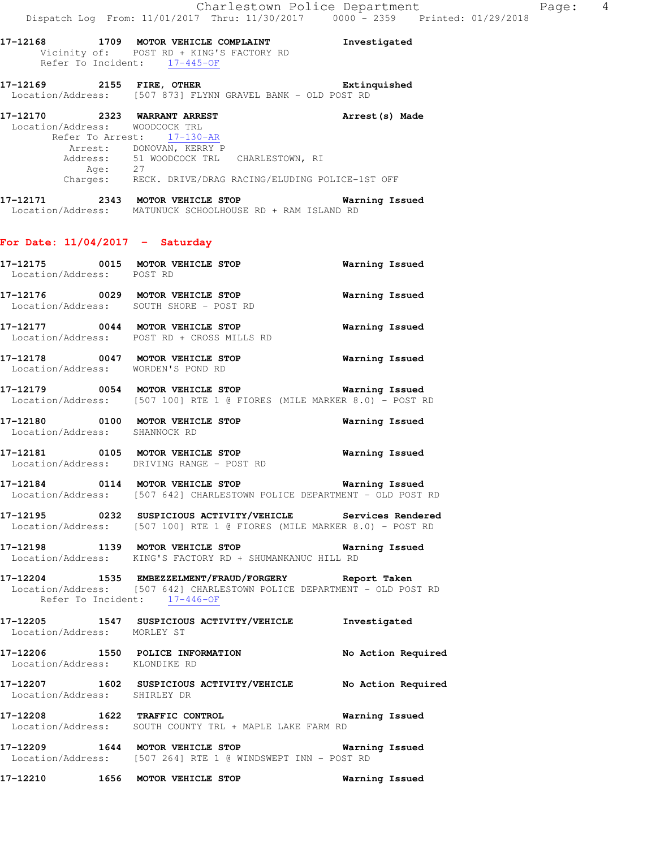**17-12168 1709 MOTOR VEHICLE COMPLAINT Investigated**  Vicinity of: POST RD + KING'S FACTORY RD Refer To Incident: 17-445-OF

**17-12169 2155 FIRE, OTHER Extinquished**  Location/Address: [507 873] FLYNN GRAVEL BANK - OLD POST RD

**17-12170 2323 WARRANT ARREST Arrest(s) Made**  Location/Address: WOODCOCK TRL Refer To Arrest: 17-130-AR Arrest: DONOVAN, KERRY P Address: 51 WOODCOCK TRL CHARLESTOWN, RI Age: 27 Charges: RECK. DRIVE/DRAG RACING/ELUDING POLICE-1ST OFF

**17-12171 2343 MOTOR VEHICLE STOP Warning Issued**  Location/Address: MATUNUCK SCHOOLHOUSE RD + RAM ISLAND RD

#### **For Date: 11/04/2017 - Saturday**

| Location/Address: POST RD     | 17-12175 0015 MOTOR VEHICLE STOP                                                                                                                                 | Warning Issued        |
|-------------------------------|------------------------------------------------------------------------------------------------------------------------------------------------------------------|-----------------------|
|                               | 17-12176 0029 MOTOR VEHICLE STOP<br>Location/Address: SOUTH SHORE - POST RD                                                                                      | Warning Issued        |
|                               | 17-12177 0044 MOTOR VEHICLE STOP<br>Location/Address: POST RD + CROSS MILLS RD                                                                                   | <b>Warning Issued</b> |
|                               | 17-12178 0047 MOTOR VEHICLE STOP 6 Warning Issued<br>Location/Address: WORDEN'S POND RD                                                                          |                       |
|                               | 17-12179 0054 MOTOR VEHICLE STOP <b>Warning Issued</b><br>Location/Address: [507 100] RTE 1 @ FIORES (MILE MARKER 8.0) - POST RD                                 |                       |
| Location/Address: SHANNOCK RD | 17-12180 0100 MOTOR VEHICLE STOP                                                                                                                                 | <b>Warning Issued</b> |
|                               | 17-12181   0105 MOTOR VEHICLE STOP   Warning Issued<br>Location/Address: DRIVING RANGE - POST RD                                                                 |                       |
|                               | Location/Address: [507 642] CHARLESTOWN POLICE DEPARTMENT - OLD POST RD                                                                                          |                       |
|                               | 17-12195 0232 SUSPICIOUS ACTIVITY/VEHICLE Services Rendered<br>Location/Address: [507 100] RTE 1 @ FIORES (MILE MARKER 8.0) - POST RD                            |                       |
|                               | 17-12198 1139 MOTOR VEHICLE STOP 6 Warning Issued<br>Location/Address: KING'S FACTORY RD + SHUMANKANUC HILL RD                                                   |                       |
|                               | 17-12204 1535 EMBEZZELMENT/FRAUD/FORGERY Report Taken<br>Location/Address: [507 642] CHARLESTOWN POLICE DEPARTMENT - OLD POST RD<br>Refer To Incident: 17-446-OF |                       |
| Location/Address: MORLEY ST   | 17-12205 1547 SUSPICIOUS ACTIVITY/VEHICLE Investigated                                                                                                           |                       |
| Location/Address: KLONDIKE RD | 17-12206 1550 POLICE INFORMATION No Action Required                                                                                                              |                       |
|                               | 17-12207 1602 SUSPICIOUS ACTIVITY/VEHICLE No Action Required                                                                                                     |                       |

 Location/Address: SHIRLEY DR **17-12208 1622 TRAFFIC CONTROL Warning Issued** 

Location/Address: SOUTH COUNTY TRL + MAPLE LAKE FARM RD

**17-12209 1644 MOTOR VEHICLE STOP Warning Issued**  Location/Address: [507 264] RTE 1 @ WINDSWEPT INN - POST RD

**17-12210 1656 MOTOR VEHICLE STOP Warning Issued**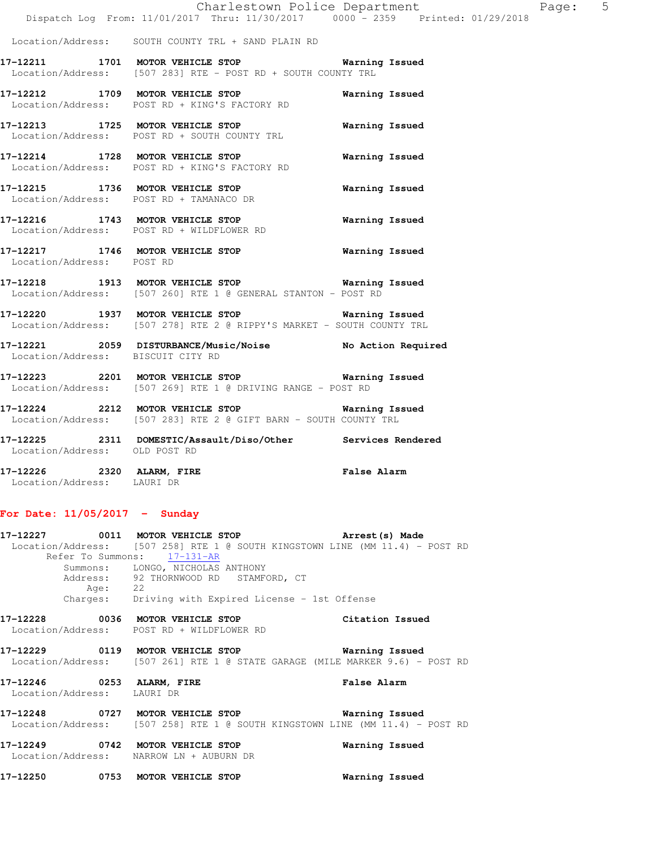|                                                |  | Charlestown Police Department |  |  |                                   | Page: |  |
|------------------------------------------------|--|-------------------------------|--|--|-----------------------------------|-------|--|
| Dispatch Log From: 11/01/2017 Thru: 11/30/2017 |  |                               |  |  | $0000 - 2359$ Printed: 01/29/2018 |       |  |

Location/Address: SOUTH COUNTY TRL + SAND PLAIN RD

**17-12211 1701 MOTOR VEHICLE STOP Warning Issued**  Location/Address: [507 283] RTE - POST RD + SOUTH COUNTY TRL

**17-12212 1709 MOTOR VEHICLE STOP Warning Issued**  Location/Address: POST RD + KING'S FACTORY RD

**17-12213 1725 MOTOR VEHICLE STOP Warning Issued**  Location/Address: POST RD + SOUTH COUNTY TRL **17-12214 1728 MOTOR VEHICLE STOP Warning Issued**  Location/Address: POST RD + KING'S FACTORY RD

**17-12215 1736 MOTOR VEHICLE STOP Warning Issued**  Location/Address: POST RD + TAMANACO DR

**17-12216 1743 MOTOR VEHICLE STOP Warning Issued**  Location/Address: POST RD + WILDFLOWER RD

**17-12217 1746 MOTOR VEHICLE STOP Warning Issued**  Location/Address: POST RD

**17-12218 1913 MOTOR VEHICLE STOP Warning Issued**  Location/Address: [507 260] RTE 1 @ GENERAL STANTON - POST RD

**17-12220 1937 MOTOR VEHICLE STOP Warning Issued**  Location/Address: [507 278] RTE 2 @ RIPPY'S MARKET - SOUTH COUNTY TRL

**17-12221 2059 DISTURBANCE/Music/Noise No Action Required**  Location/Address: BISCUIT CITY RD

**17-12223 2201 MOTOR VEHICLE STOP Warning Issued**  Location/Address: [507 269] RTE 1 @ DRIVING RANGE - POST RD

**17-12224 2212 MOTOR VEHICLE STOP Warning Issued**  Location/Address: [507 283] RTE 2 @ GIFT BARN - SOUTH COUNTY TRL

**17-12225 2311 DOMESTIC/Assault/Diso/Other Services Rendered**  Location/Address: OLD POST RD

**17-12226 2320 ALARM, FIRE False Alarm**  Location/Address: LAURI DR

#### **For Date: 11/05/2017 - Sunday**

**17-12227 0011 MOTOR VEHICLE STOP Arrest(s) Made**  Location/Address: [507 258] RTE 1 @ SOUTH KINGSTOWN LINE (MM 11.4) - POST RD Refer To Summons: 17-131-AR Summons: LONGO, NICHOLAS ANTHONY Address: 92 THORNWOOD RD STAMFORD, CT Age: 22 Charges: Driving with Expired License - 1st Offense **17-12228 0036 MOTOR VEHICLE STOP Citation Issued**  Location/Address: POST RD + WILDFLOWER RD **17-12229 0119 MOTOR VEHICLE STOP Warning Issued**  Location/Address: [507 261] RTE 1 @ STATE GARAGE (MILE MARKER 9.6) - POST RD **17-12246 0253 ALARM, FIRE False Alarm**  Location/Address: LAURI DR

**17-12248 0727 MOTOR VEHICLE STOP Warning Issued**  Location/Address: [507 258] RTE 1 @ SOUTH KINGSTOWN LINE (MM 11.4) - POST RD

**17-12249 0742 MOTOR VEHICLE STOP Warning Issued**  Location/Address: NARROW LN + AUBURN DR

**17-12250 0753 MOTOR VEHICLE STOP Warning Issued**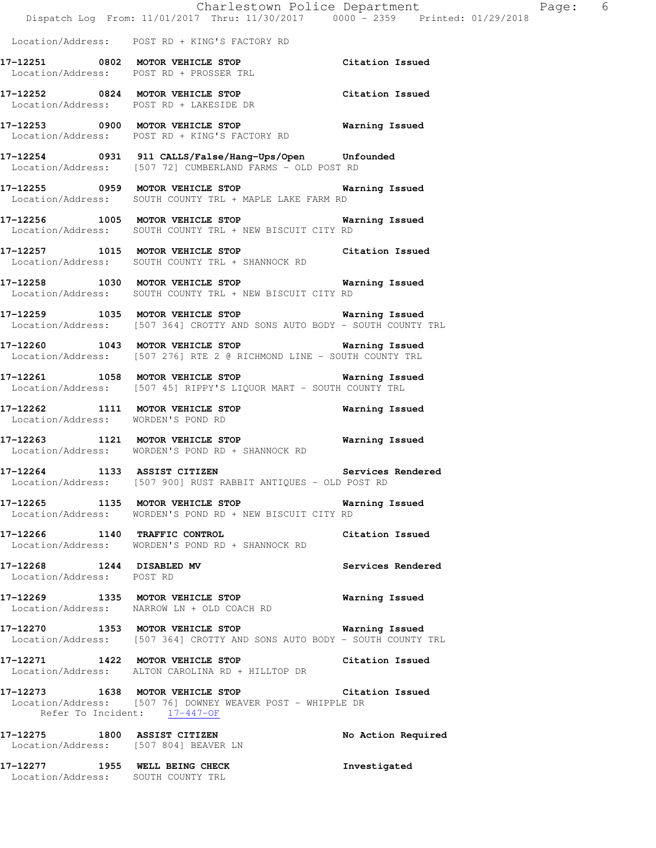|                                                                      | Dispatch Log From: 11/01/2017 Thru: 11/30/2017 0000 - 2359 Printed: 01/29/2018                                                 |                       |
|----------------------------------------------------------------------|--------------------------------------------------------------------------------------------------------------------------------|-----------------------|
|                                                                      | Location/Address: POST RD + KING'S FACTORY RD                                                                                  |                       |
|                                                                      | 17-12251 0802 MOTOR VEHICLE STOP Citation Issued<br>Location/Address: POST RD + PROSSER TRL                                    |                       |
|                                                                      | 17-12252 0824 MOTOR VEHICLE STOP Citation Issued<br>Location/Address: POST RD + LAKESIDE DR                                    |                       |
|                                                                      | 17-12253 0900 MOTOR VEHICLE STOP <b>WARELL WARELL</b><br>Location/Address: POST RD + KING'S FACTORY RD                         |                       |
|                                                                      | 17-12254 0931 911 CALLS/False/Hang-Ups/Open Unfounded<br>Location/Address: [507 72] CUMBERLAND FARMS - OLD POST RD             |                       |
|                                                                      | 17-12255 0959 MOTOR VEHICLE STOP <b>WATER</b> Warning Issued<br>Location/Address: SOUTH COUNTY TRL + MAPLE LAKE FARM RD        |                       |
|                                                                      | 17-12256 1005 MOTOR VEHICLE STOP Warning Issued<br>Location/Address: SOUTH COUNTY TRL + NEW BISCUIT CITY RD                    |                       |
|                                                                      | 17-12257 1015 MOTOR VEHICLE STOP Citation Issued<br>Location/Address: SOUTH COUNTY TRL + SHANNOCK RD                           |                       |
|                                                                      | 17-12258 1030 MOTOR VEHICLE STOP 6 Warning Issued<br>Location/Address: SOUTH COUNTY TRL + NEW BISCUIT CITY RD                  |                       |
|                                                                      | 17-12259 1035 MOTOR VEHICLE STOP 6 Warning Issued<br>Location/Address: [507 364] CROTTY AND SONS AUTO BODY - SOUTH COUNTY TRL  |                       |
|                                                                      | 17-12260 1043 MOTOR VEHICLE STOP <b>Warning Issued</b><br>Location/Address: [507 276] RTE 2 @ RICHMOND LINE - SOUTH COUNTY TRL |                       |
|                                                                      | 17-12261 1058 MOTOR VEHICLE STOP 6 Warning Issued<br>Location/Address: [507 45] RIPPY'S LIQUOR MART - SOUTH COUNTY TRL         |                       |
|                                                                      | 17-12262 1111 MOTOR VEHICLE STOP<br>Location/Address: WORDEN'S POND RD                                                         | Warning Issued        |
|                                                                      | 17-12263 1121 MOTOR VEHICLE STOP 6 Warning Issued<br>Location/Address: WORDEN'S POND RD + SHANNOCK RD                          |                       |
| 17-12264 1133 ASSIST CITIZEN                                         | Services Rendered<br>Location/Address: [507 900] RUST RABBIT ANTIQUES - OLD POST RD                                            |                       |
|                                                                      | 17-12265 1135 MOTOR VEHICLE STOP <b>Warning Issued</b><br>Location/Address: WORDEN'S POND RD + NEW BISCUIT CITY RD             |                       |
|                                                                      | 17-12266 1140 TRAFFIC CONTROL<br>Location/Address: WORDEN'S POND RD + SHANNOCK RD                                              | Citation Issued       |
| 17-12268 1244 DISABLED MV<br>Location/Address: POST RD               |                                                                                                                                | Services Rendered     |
|                                                                      | 17-12269 1335 MOTOR VEHICLE STOP<br>Location/Address: NARROW LN + OLD COACH RD                                                 | <b>Warning Issued</b> |
|                                                                      | 17-12270 1353 MOTOR VEHICLE STOP 5 Warning Issued<br>Location/Address: [507 364] CROTTY AND SONS AUTO BODY - SOUTH COUNTY TRL  |                       |
|                                                                      | 17-12271 1422 MOTOR VEHICLE STOP<br>Location/Address: ALTON CAROLINA RD + HILLTOP DR                                           | Citation Issued       |
| Refer To Incident: 17-447-OF                                         | 17-12273 1638 MOTOR VEHICLE STOP Citation Issued<br>Location/Address: [507 76] DOWNEY WEAVER POST - WHIPPLE DR                 |                       |
|                                                                      | 17-12275 1800 ASSIST CITIZEN<br>Location/Address: [507 804] BEAVER LN                                                          | No Action Required    |
| 17-12277 1955 WELL BEING CHECK<br>Location/Address: SOUTH COUNTY TRL |                                                                                                                                | Investigated          |

Charlestown Police Department Page: 6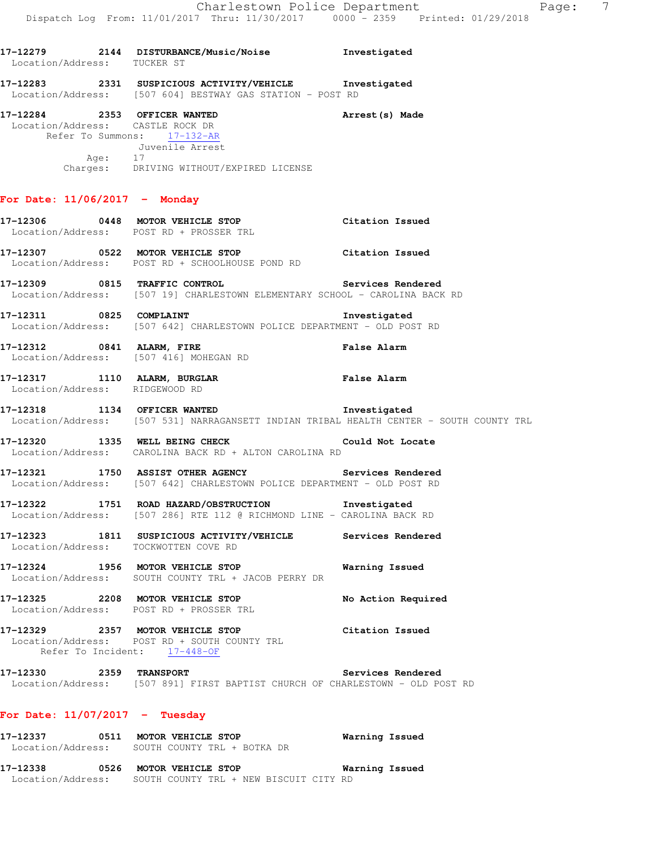| Location/Address: TUCKER ST     | 17-12279 2144 DISTURBANCE/Music/Noise Showstigated                                                                                                                        |                          |
|---------------------------------|---------------------------------------------------------------------------------------------------------------------------------------------------------------------------|--------------------------|
|                                 | 17-12283 2331 SUSPICIOUS ACTIVITY/VEHICLE Investigated<br>Location/Address: [507 604] BESTWAY GAS STATION - POST RD                                                       |                          |
|                                 | 17-12284 2353 OFFICER WANTED<br>Location/Address: CASTLE ROCK DR<br>Refer To Summons: 17-132-AR<br>Juvenile Arrest<br>Age: 17<br>Charges: DRIVING WITHOUT/EXPIRED LICENSE | Arrest (s) Made          |
| For Date: $11/06/2017$ - Monday |                                                                                                                                                                           |                          |
|                                 | 17-12306 0448 MOTOR VEHICLE STOP Citation Issued<br>LOCATION (Address: POST PD + PROSSER TPL)<br>Location/Address: POST RD + PROSSER TRL                                  |                          |
|                                 | 17-12307 0522 MOTOR VEHICLE STOP Citation Issued<br>Location/Address: POST RD + SCHOOLHOUSE POND RD                                                                       |                          |
|                                 | 17-12309 0815 TRAFFIC CONTROL Services Rendered<br>Location/Address: [507 19] CHARLESTOWN ELEMENTARY SCHOOL - CAROLINA BACK RD                                            |                          |
|                                 | 17-12311 0825 COMPLAINT<br>Location/Address: [507 642] CHARLESTOWN POLICE DEPARTMENT - OLD POST RD                                                                        | Investigated             |
|                                 | 17-12312 0841 ALARM, FIRE <b>1988 12 False Alarm</b><br>Location/Address: [507 416] MOHEGAN RD                                                                            |                          |
| Location/Address: RIDGEWOOD RD  | 17-12317 1110 ALARM, BURGLAR                                                                                                                                              | False Alarm              |
|                                 | 17-12318 1134 OFFICER WANTED 117-12318<br>Location/Address: [507 531] NARRAGANSETT INDIAN TRIBAL HEALTH CENTER - SOUTH COUNTY TRL                                         |                          |
|                                 | 17-12320 1335 WELL BEING CHECK COULD Could Not Locate<br>Location/Address: CAROLINA BACK RD + ALTON CAROLINA RD                                                           |                          |
|                                 | 17-12321 1750 ASSIST OTHER AGENCY Services Rendered<br>Location/Address: [507 642] CHARLESTOWN POLICE DEPARTMENT - OLD POST RD                                            |                          |
|                                 | 17-12322 1751 ROAD HAZARD/OBSTRUCTION Investigated<br>Location/Address: [507 286] RTE 112 @ RICHMOND LINE - CAROLINA BACK RD                                              |                          |
|                                 | 17-12323 1811 SUSPICIOUS ACTIVITY/VEHICLE<br>Location/Address: TOCKWOTTEN COVE RD                                                                                         | Services Rendered        |
|                                 | 17-12324 1956 MOTOR VEHICLE STOP<br>Location/Address: SOUTH COUNTY TRL + JACOB PERRY DR                                                                                   | Warning Issued           |
|                                 | 17-12325 2208 MOTOR VEHICLE STOP<br>Location/Address: POST RD + PROSSER TRL                                                                                               | No Action Required       |
|                                 | 17-12329 2357 MOTOR VEHICLE STOP<br>Location/Address: POST RD + SOUTH COUNTY TRL<br>Refer To Incident: 17-448-OF                                                          | Citation Issued          |
| 17-12330 2359 TRANSPORT         | Location/Address: [507 891] FIRST BAPTIST CHURCH OF CHARLESTOWN - OLD POST RD                                                                                             | <b>Services Rendered</b> |
|                                 |                                                                                                                                                                           |                          |

### **For Date: 11/07/2017 - Tuesday**

| 17–12337          | 0511 | MOTOR VEHICLE STOP          |  |  | Warning Issued |
|-------------------|------|-----------------------------|--|--|----------------|
| Location/Address: |      | SOUTH COUNTY TRL + BOTKA DR |  |  |                |

**17-12338 0526 MOTOR VEHICLE STOP Warning Issued**  Location/Address: SOUTH COUNTY TRL + NEW BISCUIT CITY RD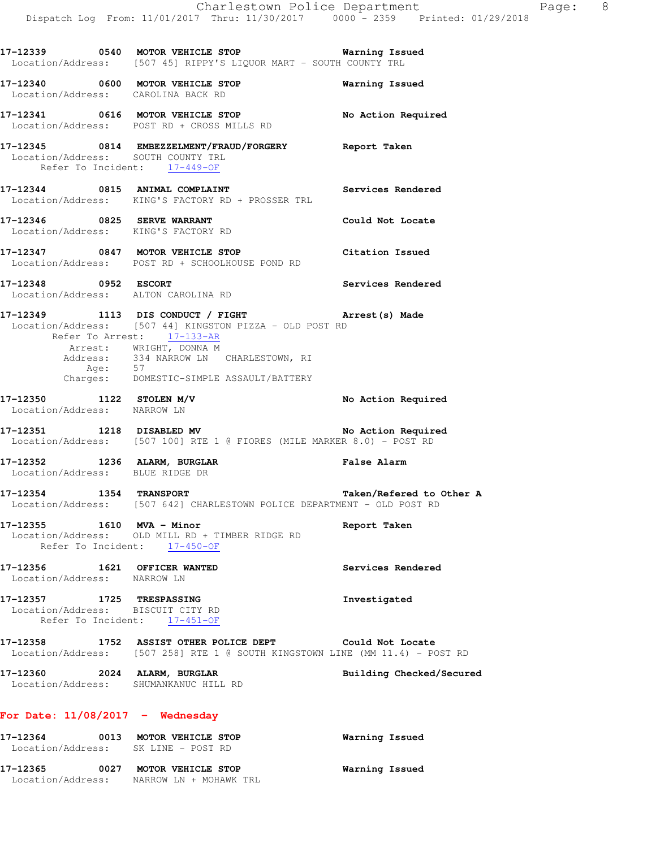|                                                                 | 17-12339 0540 MOTOR VEHICLE STOP 6 Warning Issued<br>Location/Address: [507 45] RIPPY'S LIQUOR MART - SOUTH COUNTY TRL                                                                                                                                                     |                          |
|-----------------------------------------------------------------|----------------------------------------------------------------------------------------------------------------------------------------------------------------------------------------------------------------------------------------------------------------------------|--------------------------|
|                                                                 | 17-12340 0600 MOTOR VEHICLE STOP<br>Location/Address: CAROLINA BACK RD                                                                                                                                                                                                     | Warning Issued           |
|                                                                 | 17-12341 0616 MOTOR VEHICLE STOP No Action Required<br>Location/Address: POST RD + CROSS MILLS RD                                                                                                                                                                          |                          |
| Refer To Incident: 17-449-OF                                    | 17-12345 0814 EMBEZZELMENT/FRAUD/FORGERY Report Taken<br>Location/Address: SOUTH COUNTY TRL                                                                                                                                                                                |                          |
|                                                                 | 17-12344 0815 ANIMAL COMPLAINT Services Rendered<br>Location/Address: KING'S FACTORY RD + PROSSER TRL                                                                                                                                                                      |                          |
|                                                                 | 17-12346 0825 SERVE WARRANT<br>Location/Address: KING'S FACTORY RD                                                                                                                                                                                                         | Could Not Locate         |
|                                                                 | 17-12347 0847 MOTOR VEHICLE STOP<br>Location/Address: POST RD + SCHOOLHOUSE POND RD                                                                                                                                                                                        | Citation Issued          |
| 17-12348 0952 ESCORT                                            | Location/Address: ALTON CAROLINA RD                                                                                                                                                                                                                                        | Services Rendered        |
|                                                                 | 17-12349 1113 DIS CONDUCT / FIGHT <b>Arrest (s) Made</b> Location/Address: [507 44] KINGSTON PIZZA - OLD POST RD<br>Refer To Arrest: 17-133-AR<br>Arrest: WRIGHT, DONNA M<br>Address: 334 NARROW LN CHARLESTOWN, RI<br>Age: 57<br>Charges: DOMESTIC-SIMPLE ASSAULT/BATTERY |                          |
| 17-12350 1122 STOLEN M/V<br>Location/Address: NARROW LN         |                                                                                                                                                                                                                                                                            | No Action Required       |
|                                                                 | 17-12351 1218 DISABLED MV No Action Required<br>Location/Address: [507 100] RTE 1 @ FIORES (MILE MARKER 8.0) - POST RD                                                                                                                                                     |                          |
| 17-12352 1236 ALARM, BURGLAR<br>Location/Address: BLUE RIDGE DR |                                                                                                                                                                                                                                                                            | False Alarm              |
|                                                                 | 17-12354 1354 TRANSPORT 17-12354 Taken/Refered to Other A<br>Location/Address: [507 642] CHARLESTOWN POLICE DEPARTMENT - OLD POST RD                                                                                                                                       |                          |
|                                                                 | 17-12355 1610 MVA - Minor<br>Location/Address: OLD MILL RD + TIMBER RIDGE RD<br>Refer To Incident: 17-450-OF                                                                                                                                                               | <b>Report Taken</b>      |
| 17-12356 1621 OFFICER WANTED<br>Location/Address: NARROW LN     |                                                                                                                                                                                                                                                                            | Services Rendered        |
| 17-12357 1725 TRESPASSING<br>Location/Address: BISCUIT CITY RD  | Refer To Incident: 17-451-OF                                                                                                                                                                                                                                               | Investigated             |
|                                                                 | 17-12358 1752 ASSIST OTHER POLICE DEPT Could Not Locate<br>Location/Address: [507 258] RTE 1 @ SOUTH KINGSTOWN LINE (MM 11.4) - POST RD                                                                                                                                    |                          |
| 17-12360 2024 ALARM, BURGLAR                                    | Location/Address: SHUMANKANUC HILL RD                                                                                                                                                                                                                                      | Building Checked/Secured |
| For Date: $11/08/2017$ - Wednesday                              |                                                                                                                                                                                                                                                                            |                          |
|                                                                 | 17-12364 0013 MOTOR VEHICLE STOP<br>Location/Address: SK LINE - POST RD                                                                                                                                                                                                    | Warning Issued           |

**17-12365 0027 MOTOR VEHICLE STOP Warning Issued**  Location/Address: NARROW LN + MOHAWK TRL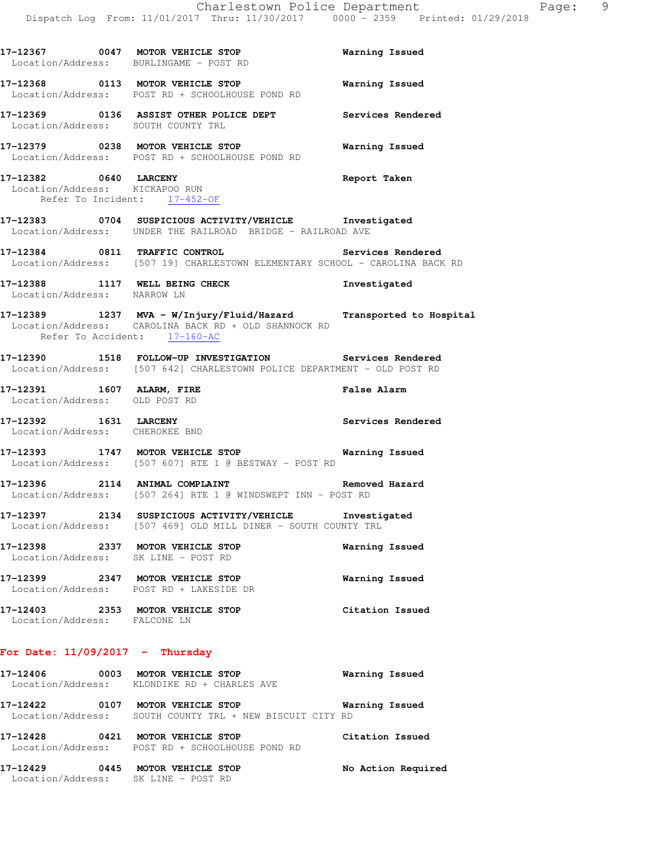|                                                       | 17-12367 0047 MOTOR VEHICLE STOP<br>Location/Address: BURLINGAME - POST RD                                                             | <b>Warning Issued</b> |
|-------------------------------------------------------|----------------------------------------------------------------------------------------------------------------------------------------|-----------------------|
|                                                       | 17-12368 0113 MOTOR VEHICLE STOP Warning Issued<br>Location/Address: POST RD + SCHOOLHOUSE POND RD                                     |                       |
|                                                       | 17-12369 0136 ASSIST OTHER POLICE DEPT Services Rendered Location/Address: SOUTH COUNTY TRL                                            |                       |
|                                                       | Location/Address: POST RD + SCHOOLHOUSE POND RD                                                                                        |                       |
| 17-12382 0640 LARCENY<br>Refer To Incident: 17-452-OF | Location/Address: KICKAPOO RUN                                                                                                         | Report Taken          |
|                                                       | 17-12383 0704 SUSPICIOUS ACTIVITY/VEHICLE Investigated<br>Location/Address: UNDER THE RAILROAD BRIDGE - RAILROAD AVE                   |                       |
|                                                       | 17-12384 0811 TRAFFIC CONTROL CONTROL Services Rendered<br>Location/Address: [507 19] CHARLESTOWN ELEMENTARY SCHOOL - CAROLINA BACK RD |                       |
| Location/Address: NARROW LN                           | 17-12388 1117 WELL BEING CHECK                                                                                                         | Investigated          |
| Refer To Accident: 17-160-AC                          | 17-12389 1237 MVA - W/Injury/Fluid/Hazard Transported to Hospital<br>Location/Address: CAROLINA BACK RD + OLD SHANNOCK RD              |                       |
|                                                       | 17-12390 1518 FOLLOW-UP INVESTIGATION Services Rendered<br>Location/Address: [507 642] CHARLESTOWN POLICE DEPARTMENT - OLD POST RD     |                       |
| Location/Address: OLD POST RD                         | 17-12391 1607 ALARM, FIRE 160 False Alarm                                                                                              |                       |
|                                                       | 17-12392 1631 LARCENY<br>Location/Address: CHEROKEE BND                                                                                | Services Rendered     |
|                                                       | 17-12393 1747 MOTOR VEHICLE STOP 6 Warning Issued<br>Location/Address: [507 607] RTE 1 @ BESTWAY - POST RD                             |                       |
|                                                       | 17-12396 2114 ANIMAL COMPLAINT<br>Location/Address: [507 264] RTE 1 @ WINDSWEPT INN - POST RD                                          | Removed Hazard        |
|                                                       | 17-12397 2134 SUSPICIOUS ACTIVITY/VEHICLE Investigated<br>Location/Address: [507 469] OLD MILL DINER - SOUTH COUNTY TRL                |                       |
|                                                       | 17-12398 2337 MOTOR VEHICLE STOP<br>Location/Address: SK LINE - POST RD                                                                | Warning Issued        |
|                                                       | 17-12399 2347 MOTOR VEHICLE STOP<br>Location/Address: POST RD + LAKESIDE DR                                                            | Warning Issued        |
|                                                       | 17-12403 2353 MOTOR VEHICLE STOP<br>Location/Address: FALCONE LN                                                                       | Citation Issued       |
| For Date: $11/09/2017$ - Thursday                     |                                                                                                                                        |                       |

# **17-12406 0003 MOTOR VEHICLE STOP Warning Issued**  Location/Address: KLONDIKE RD + CHARLES AVE **17-12422 0107 MOTOR VEHICLE STOP Warning Issued**  Location/Address: SOUTH COUNTY TRL + NEW BISCUIT CITY RD **17-12428 0421 MOTOR VEHICLE STOP Citation Issued**

 Location/Address: POST RD + SCHOOLHOUSE POND RD **17-12429 0445 MOTOR VEHICLE STOP No Action Required** 

Location/Address: SK LINE - POST RD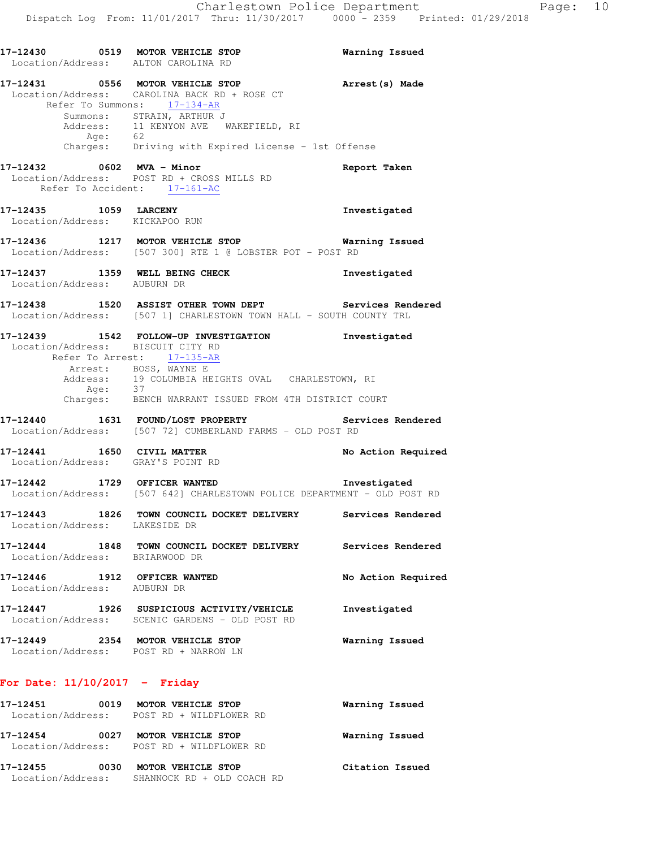|                             | 17-12430 0519 MOTOR VEHICLE STOP<br>Location/Address: ALTON CAROLINA RD                                                                      |                                                                                                                                                                                         | Warning Issued                                                                     |
|-----------------------------|----------------------------------------------------------------------------------------------------------------------------------------------|-----------------------------------------------------------------------------------------------------------------------------------------------------------------------------------------|------------------------------------------------------------------------------------|
|                             | 17-12431 0556 MOTOR VEHICLE STOP<br>Location/Address: CAROLINA BACK RD + ROSE CT<br>Refer To Summons: 17-134-AR<br>Summons: STRAIN, ARTHUR J | Address: 11 KENYON AVE WAKEFIELD, RI                                                                                                                                                    | Arrest (s) Made                                                                    |
|                             |                                                                                                                                              | Age: 62<br>Charges: Driving with Expired License - 1st Offense                                                                                                                          |                                                                                    |
|                             | 17-12432 0602 MVA - Minor<br>Refer To Accident: $17-161-AC$                                                                                  | Location/Address: POST RD + CROSS MILLS RD                                                                                                                                              | Report Taken                                                                       |
|                             | 17-12435 1059 LARCENY<br>Location/Address: KICKAPOO RUN                                                                                      |                                                                                                                                                                                         | Investigated                                                                       |
|                             |                                                                                                                                              | 17-12436 1217 MOTOR VEHICLE STOP<br>Location/Address: [507 300] RTE 1 @ LOBSTER POT - POST RD                                                                                           | Warning Issued                                                                     |
|                             |                                                                                                                                              | 17-12437 1359 WELL BEING CHECK<br>Location/Address: AUBURN DR                                                                                                                           | Investigated                                                                       |
|                             |                                                                                                                                              | 17-12438 1520 ASSIST OTHER TOWN DEPT Services Rendered Location/Address: [507 1] CHARLESTOWN TOWN HALL - SOUTH COUNTY TRL                                                               |                                                                                    |
|                             | Location/Address: BISCUIT CITY RD<br>Refer To Arrest: 17-135-AR                                                                              | 17-12439 1542 FOLLOW-UP INVESTIGATION<br>Arrest: BOSS, WAYNE E<br>Address: 19 COLUMBIA HEIGHTS OVAL CHARLESTOWN, RI<br>Age: 37<br>Charges: BENCH WARRANT ISSUED FROM 4TH DISTRICT COURT | Investigated                                                                       |
|                             |                                                                                                                                              | 17-12440 1631 FOUND/LOST PROPERTY Services Rendered<br>Location/Address: [507 72] CUMBERLAND FARMS - OLD POST RD                                                                        |                                                                                    |
|                             | Location/Address: GRAY'S POINT RD                                                                                                            |                                                                                                                                                                                         | 17-12441 1650 CIVIL MATTER No Action Required<br>Location/Address: GRAY'S POINT RD |
|                             | 17-12442 1729 OFFICER WANTED                                                                                                                 | Location/Address: [507 642] CHARLESTOWN POLICE DEPARTMENT - OLD POST RD                                                                                                                 | Investigated                                                                       |
|                             | Location/Address: LAKESIDE DR                                                                                                                | 17-12443 1826 TOWN COUNCIL DOCKET DELIVERY Services Rendered                                                                                                                            |                                                                                    |
|                             | Location/Address: BRIARWOOD DR                                                                                                               | 17-12444 1848 TOWN COUNCIL DOCKET DELIVERY Services Rendered                                                                                                                            |                                                                                    |
| Location/Address: AUBURN DR | 17-12446 1912 OFFICER WANTED                                                                                                                 |                                                                                                                                                                                         | No Action Required                                                                 |
|                             | Location/Address: SCENIC GARDENS - OLD POST RD                                                                                               | 17-12447 1926 SUSPICIOUS ACTIVITY/VEHICLE                                                                                                                                               | Investigated                                                                       |
|                             | 17-12449 2354 MOTOR VEHICLE STOP<br>Location/Address: POST RD + NARROW LN                                                                    |                                                                                                                                                                                         | Warning Issued                                                                     |
|                             | For Date: $11/10/2017$ - Friday                                                                                                              |                                                                                                                                                                                         |                                                                                    |
|                             | 17-12451 0019 MOTOR VEHICLE STOP<br>Location/Address: POST RD + WILDFLOWER RD                                                                |                                                                                                                                                                                         | Warning Issued                                                                     |

| 17–12455<br>0030                      | MOTOR VEHICLE STOP                            | Citation Issued |
|---------------------------------------|-----------------------------------------------|-----------------|
| 17-12454<br>0027<br>Location/Address: | MOTOR VEHICLE STOP<br>POST RD + WILDFLOWER RD | Warning Issued  |
| Location/Address:                     | POST RD + WILDFLOWER RD                       |                 |

Location/Address: SHANNOCK RD + OLD COACH RD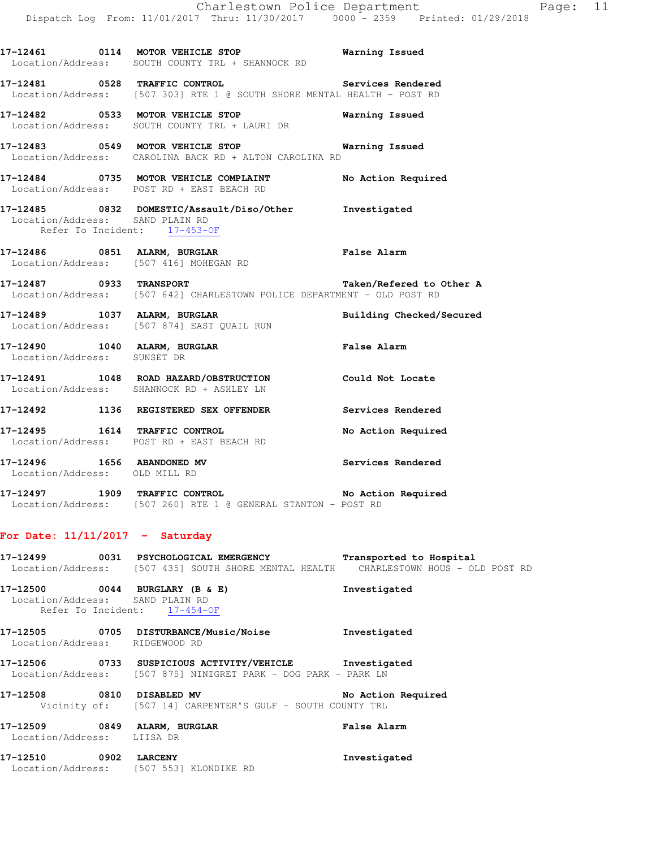|                                 | Location/Address: SOUTH COUNTY TRL + SHANNOCK RD                                                                                                   |                       |
|---------------------------------|----------------------------------------------------------------------------------------------------------------------------------------------------|-----------------------|
|                                 | 17-12481 0528 TRAFFIC CONTROL Services Rendered<br>Location/Address: [507 303] RTE 1 @ SOUTH SHORE MENTAL HEALTH - POST RD                         |                       |
|                                 | 17-12482 0533 MOTOR VEHICLE STOP<br>Location/Address: SOUTH COUNTY TRL + LAURI DR                                                                  | <b>Warning Issued</b> |
|                                 | Location/Address: CAROLINA BACK RD + ALTON CAROLINA RD                                                                                             |                       |
|                                 | 17-12484 0735 MOTOR VEHICLE COMPLAINT No Action Required<br>Location/Address: POST RD + EAST BEACH RD                                              |                       |
| Location/Address: SAND PLAIN RD | 17-12485 0832 DOMESTIC/Assault/Diso/Other Investigated<br>Refer To Incident: 17-453-OF                                                             |                       |
|                                 | 17-12486 0851 ALARM, BURGLAR<br>Location/Address: [507 416] MOHEGAN RD                                                                             | False Alarm           |
|                                 | 17-12487      0933   TRANSPORT                 Taken/Refered to Other A<br>Location/Address: [507 642] CHARLESTOWN POLICE DEPARTMENT - OLD POST RD |                       |
|                                 | 17-12489 1037 ALARM, BURGLAR BURGLAR Building Checked/Secured Location/Address: [507 874] EAST QUAIL RUN                                           |                       |
| Location/Address: SUNSET DR     | 17-12490 1040 ALARM, BURGLAR <b>Example 19</b> False Alarm                                                                                         |                       |
|                                 | 17-12491 1048 ROAD HAZARD/OBSTRUCTION Could Not Locate<br>Location/Address: SHANNOCK RD + ASHLEY LN                                                |                       |
|                                 | 17-12492 1136 REGISTERED SEX OFFENDER Services Rendered                                                                                            |                       |
|                                 | 17-12495 1614 TRAFFIC CONTROL<br>Location/Address: POST RD + EAST BEACH RD                                                                         | No Action Required    |
| Location/Address: OLD MILL RD   | 17-12496 1656 ABANDONED MV                                                                                                                         | Services Rendered     |
|                                 | 17-12497 1909 TRAFFIC CONTROL 1909 No Action Required<br>Location/Address: [507 260] RTE 1 @ GENERAL STANTON - POST RD                             |                       |

## **For Date: 11/11/2017 - Saturday**

| 17-12499                       | 0031 PSYCHOLOGICAL EMERGENCY<br>Location/Address: [507 435] SOUTH SHORE MENTAL HEALTH CHARLESTOWN HOUS - OLD POST RD     | Transported to Hospital |
|--------------------------------|--------------------------------------------------------------------------------------------------------------------------|-------------------------|
|                                | 17-12500 0044 BURGLARY (B & E)<br>Location/Address: SAND PLAIN RD<br>Refer To Incident: 17-454-OF                        | Investigated            |
| Location/Address: RIDGEWOOD RD | 17-12505 0705 DISTURBANCE/Music/Noise                                                                                    | Investigated            |
|                                | 17-12506 0733 SUSPICIOUS ACTIVITY/VEHICLE Investigated<br>Location/Address: [507 875] NINIGRET PARK - DOG PARK - PARK LN |                         |
|                                | 17-12508 0810 DISABLED MV<br>Vicinity of: [507 14] CARPENTER'S GULF - SOUTH COUNTY TRL                                   | No Action Required      |
| Location/Address: LIISA DR     | 17-12509 0849 ALARM, BURGLAR                                                                                             | False Alarm             |
| 17-12510 0902 LARCENY          | Location/Address: [507 553] KLONDIKE RD                                                                                  | Investigated            |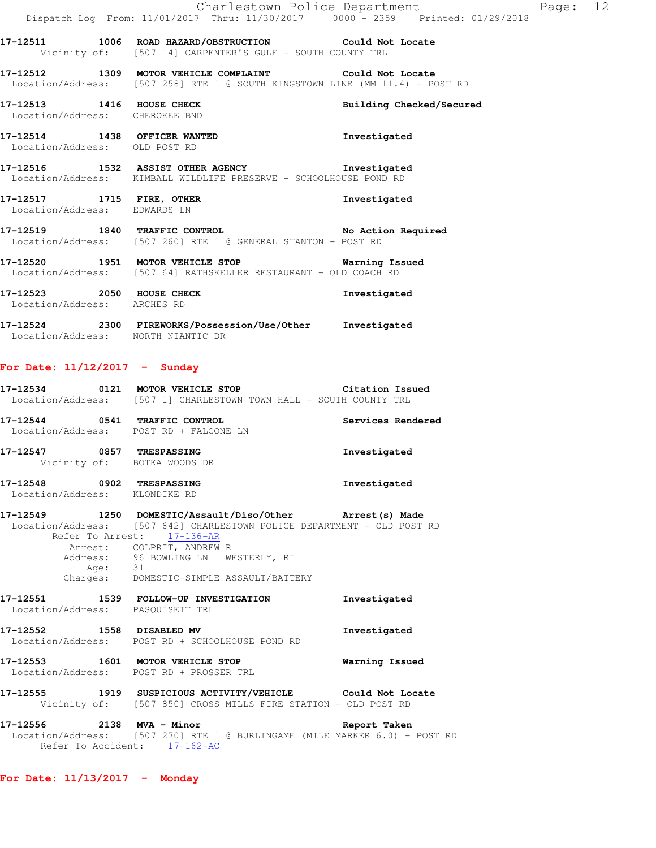|                                                               | Charlestown Police Department<br>Dispatch Log From: 11/01/2017 Thru: 11/30/2017 0000 - 2359 Printed: 01/29/2018                        |              |
|---------------------------------------------------------------|----------------------------------------------------------------------------------------------------------------------------------------|--------------|
|                                                               | 17-12511 1006 ROAD HAZARD/OBSTRUCTION Could Not Locate<br>Vicinity of: [507 14] CARPENTER'S GULF - SOUTH COUNTY TRL                    |              |
|                                                               | 17-12512 1309 MOTOR VEHICLE COMPLAINT Could Not Locate<br>Location/Address: [507 258] RTE 1 @ SOUTH KINGSTOWN LINE (MM 11.4) - POST RD |              |
| Location/Address: CHEROKEE BND                                | 17-12513 1416 HOUSE CHECK Building Checked/Secured                                                                                     |              |
| 17-12514 1438 OFFICER WANTED<br>Location/Address: OLD POST RD |                                                                                                                                        | Investigated |
|                                                               | 17-12516 1532 ASSIST OTHER AGENCY 1nvestigated<br>  Location/Address: KIMBALL WILDLIFE PRESERVE - SCHOOLHOUSE POND RD                  |              |
| Location/Address: EDWARDS LN                                  | 17-12517 1715 FIRE, OTHER                                                                                                              | Investigated |
|                                                               | 17-12519 1840 TRAFFIC CONTROL No Action Required<br>  Location/Address: [507 260] RTE 1 @ GENERAL STANTON - POST RD                    |              |
|                                                               | 17-12520 1951 MOTOR VEHICLE STOP 6 Warning Issued<br>Location/Address: [507 64] RATHSKELLER RESTAURANT - OLD COACH RD                  |              |
| 17-12523 2050 HOUSE CHECK<br>Location/Address: ARCHES RD      |                                                                                                                                        | Investigated |

Page: 12

**17-12524 2300 FIREWORKS/Possession/Use/Other Investigated**  Location/Address: NORTH NIANTIC DR

# **For Date: 11/12/2017 - Sunday**

|  | 17-12534 0121 MOTOR VEHICLE STOP Citation Issued<br>Location/Address: [507 1] CHARLESTOWN TOWN HALL - SOUTH COUNTY TRL                                                                                                                                                                       |                   |
|--|----------------------------------------------------------------------------------------------------------------------------------------------------------------------------------------------------------------------------------------------------------------------------------------------|-------------------|
|  | 17-12544 0541 TRAFFIC CONTROL<br>Location/Address: POST RD + FALCONE LN                                                                                                                                                                                                                      | Services Rendered |
|  | 17-12547 0857 TRESPASSING<br>Vicinity of: BOTKA WOODS DR                                                                                                                                                                                                                                     | Investigated      |
|  | 17-12548 0902 TRESPASSING<br>Location/Address: KLONDIKE RD                                                                                                                                                                                                                                   | Investigated      |
|  | 17-12549 1250 DOMESTIC/Assault/Diso/Other Arrest(s) Made<br>Location/Address: [507 642] CHARLESTOWN POLICE DEPARTMENT - OLD POST RD<br>Refer To Arrest: 17-136-AR<br>Arrest: COLPRIT, ANDREW R<br>Address: 96 BOWLING LN WESTERLY, RI<br>Age: 31<br>Charges: DOMESTIC-SIMPLE ASSAULT/BATTERY |                   |
|  | 17-12551 1539 FOLLOW-UP INVESTIGATION<br>Location/Address: PASQUISETT TRL                                                                                                                                                                                                                    | Investigated      |
|  | 17-12552 1558 DISABLED MV<br>Location/Address: POST RD + SCHOOLHOUSE POND RD                                                                                                                                                                                                                 | Investigated      |
|  | 17-12553 1601 MOTOR VEHICLE STOP <b>Warning Issued</b><br>Location/Address: POST RD + PROSSER TRL                                                                                                                                                                                            |                   |
|  | 17-12555 1919 SUSPICIOUS ACTIVITY/VEHICLE Could Not Locate<br>Vicinity of: [507 850] CROSS MILLS FIRE STATION - OLD POST RD                                                                                                                                                                  |                   |
|  | 17-12556 2138 MVA - Minor<br>Location/Address: [507 270] RTE 1 @ BURLINGAME (MILE MARKER 6.0) - POST RD<br>Refer To Accident: 17-162-AC                                                                                                                                                      | Report Taken      |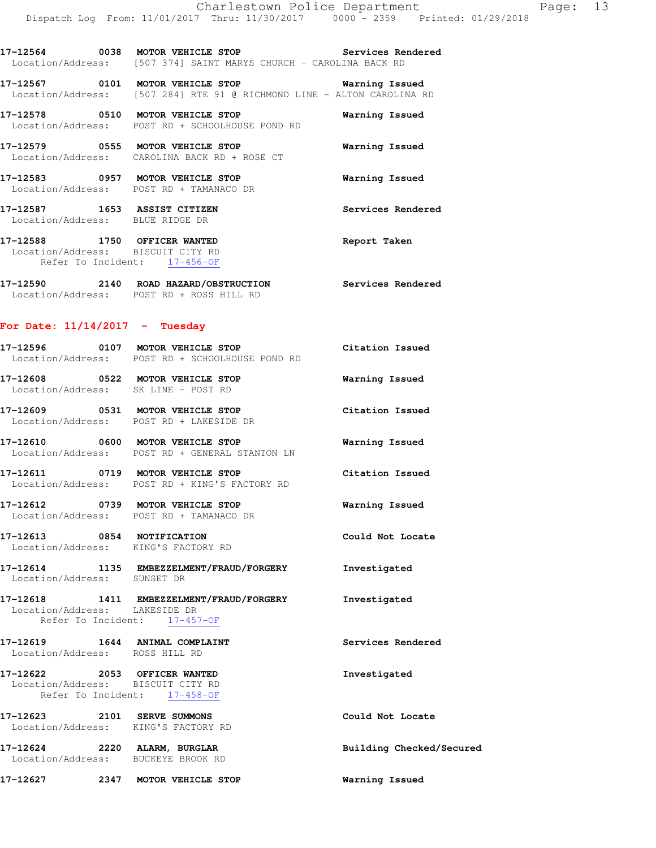**17-12564 0038 MOTOR VEHICLE STOP Services Rendered**  Location/Address: [507 374] SAINT MARYS CHURCH - CAROLINA BACK RD

**17-12567 0101 MOTOR VEHICLE STOP Warning Issued**  Location/Address: [507 284] RTE 91 @ RICHMOND LINE - ALTON CAROLINA RD

**17-12578 0510 MOTOR VEHICLE STOP Warning Issued**  Location/Address: POST RD + SCHOOLHOUSE POND RD

**17-12579 0555 MOTOR VEHICLE STOP Warning Issued**  Location/Address: CAROLINA BACK RD + ROSE CT

**17-12583 0957 MOTOR VEHICLE STOP Warning Issued**  Location/Address: POST RD + TAMANACO DR

**17-12587 1653 ASSIST CITIZEN Services Rendered**  Location/Address: BLUE RIDGE DR

**17-12588 1750 OFFICER WANTED Report Taken**  Location/Address: BISCUIT CITY RD Refer To Incident: 17-456-OF

**17-12590 2140 ROAD HAZARD/OBSTRUCTION Services Rendered**  Location/Address: POST RD + ROSS HILL RD

### **For Date: 11/14/2017 - Tuesday**

| 17-12596          | 0107 | MOTOR VEHICLE STOP            |  | Citation Issued |  |
|-------------------|------|-------------------------------|--|-----------------|--|
| Location/Address: |      | POST RD + SCHOOLHOUSE POND RD |  |                 |  |

**17-12608 0522 MOTOR VEHICLE STOP Warning Issued**  Location/Address: SK LINE - POST RD

**17-12609 0531 MOTOR VEHICLE STOP Citation Issued**  Location/Address: POST RD + LAKESIDE DR

**17-12610 0600 MOTOR VEHICLE STOP Warning Issued**  Location/Address: POST RD + GENERAL STANTON LN

**17-12611 0719 MOTOR VEHICLE STOP Citation Issued**  Location/Address: POST RD + KING'S FACTORY RD

**17-12612 0739 MOTOR VEHICLE STOP Warning Issued**  Location/Address: POST RD + TAMANACO DR

**17-12613 0854 NOTIFICATION Could Not Locate**  Location/Address: KING'S FACTORY RD

**17-12614 1135 EMBEZZELMENT/FRAUD/FORGERY Investigated**  Location/Address: SUNSET DR

**17-12618 1411 EMBEZZELMENT/FRAUD/FORGERY Investigated**  Location/Address: LAKESIDE DR Refer To Incident: 17-457-OF

## **17-12619 1644 ANIMAL COMPLAINT Services Rendered**  Location/Address: ROSS HILL RD **17-12622 2053 OFFICER WANTED Investigated**  Location/Address: BISCUIT CITY RD Refer To Incident: 17-458-OF **17-12623 2101 SERVE SUMMONS Could Not Locate**  Location/Address: KING'S FACTORY RD **17-12624 2220 ALARM, BURGLAR Building Checked/Secured**  Location/Address: BUCKEYE BROOK RD

**17-12627 2347 MOTOR VEHICLE STOP Warning Issued**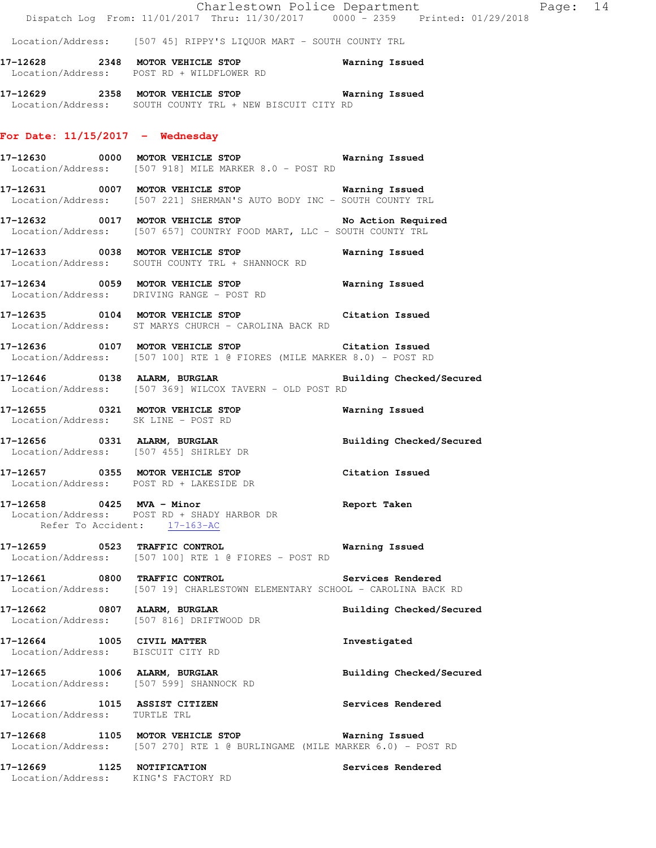#### **For Date: 11/15/2017 - Wednesday**

**17-12630 0000 MOTOR VEHICLE STOP Warning Issued**  Location/Address: [507 918] MILE MARKER 8.0 - POST RD

Location/Address: SOUTH COUNTY TRL + NEW BISCUIT CITY RD

- **17-12631 0007 MOTOR VEHICLE STOP Warning Issued**  Location/Address: [507 221] SHERMAN'S AUTO BODY INC - SOUTH COUNTY TRL
- **17-12632 0017 MOTOR VEHICLE STOP No Action Required**  Location/Address: [507 657] COUNTRY FOOD MART, LLC - SOUTH COUNTY TRL
- **17-12633 0038 MOTOR VEHICLE STOP Warning Issued**  Location/Address: SOUTH COUNTY TRL + SHANNOCK RD
- **17-12634 0059 MOTOR VEHICLE STOP Warning Issued**  Location/Address: DRIVING RANGE - POST RD
- **17-12635 0104 MOTOR VEHICLE STOP Citation Issued**  Location/Address: ST MARYS CHURCH - CAROLINA BACK RD
- **17-12636 0107 MOTOR VEHICLE STOP Citation Issued**  Location/Address: [507 100] RTE 1 @ FIORES (MILE MARKER 8.0) - POST RD
- **17-12646 0138 ALARM, BURGLAR Building Checked/Secured**  Location/Address: [507 369] WILCOX TAVERN - OLD POST RD
- **17-12655 0321 MOTOR VEHICLE STOP Warning Issued**  Location/Address: SK LINE - POST RD
- **17-12656 0331 ALARM, BURGLAR Building Checked/Secured**  Location/Address: [507 455] SHIRLEY DR
- **17-12657 0355 MOTOR VEHICLE STOP Citation Issued**  Location/Address: POST RD + LAKESIDE DR
- **17-12658 0425 MVA Minor Report Taken**  Location/Address: POST RD + SHADY HARBOR DR Refer To Accident: 17-163-AC
- **17-12659 0523 TRAFFIC CONTROL Warning Issued**  Location/Address: [507 100] RTE 1 @ FIORES - POST RD
- **17-12661 0800 TRAFFIC CONTROL Services Rendered**  Location/Address: [507 19] CHARLESTOWN ELEMENTARY SCHOOL - CAROLINA BACK RD
- **17-12662 0807 ALARM, BURGLAR Building Checked/Secured**  Location/Address: [507 816] DRIFTWOOD DR
- **17-12664 1005 CIVIL MATTER Investigated**  Location/Address: BISCUIT CITY RD
- **17-12665 1006 ALARM, BURGLAR Building Checked/Secured**
- Location/Address: [507 599] SHANNOCK RD **17-12666 1015 ASSIST CITIZEN Services Rendered**
- Location/Address: TURTLE TRL
- **17-12668 1105 MOTOR VEHICLE STOP Warning Issued**  Location/Address: [507 270] RTE 1 @ BURLINGAME (MILE MARKER 6.0) - POST RD

**17-12669 1125 NOTIFICATION Services Rendered**  Location/Address: KING'S FACTORY RD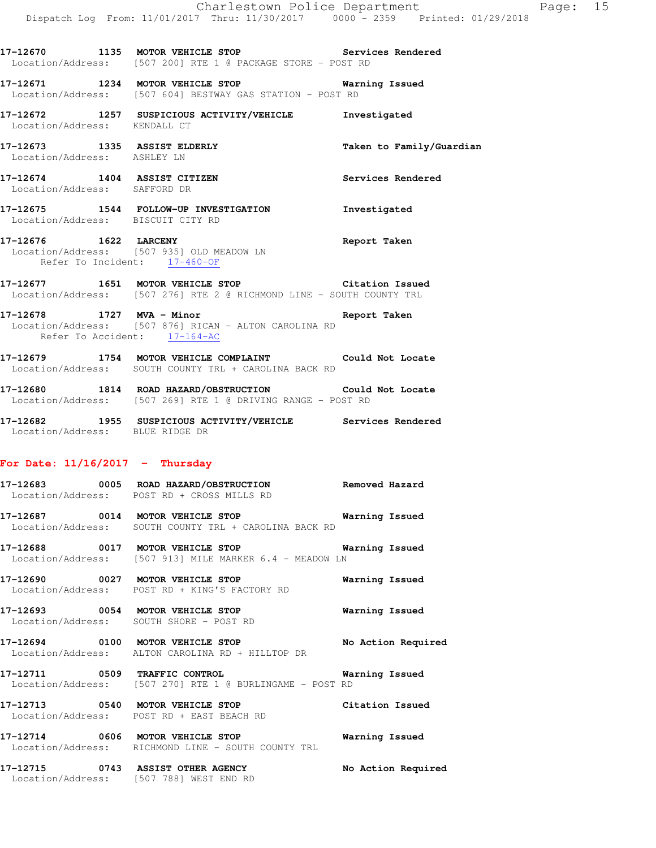**17-12670 1135 MOTOR VEHICLE STOP Services Rendered**  Location/Address: [507 200] RTE 1 @ PACKAGE STORE - POST RD

**17-12671 1234 MOTOR VEHICLE STOP Warning Issued**  Location/Address: [507 604] BESTWAY GAS STATION - POST RD

**17-12672 1257 SUSPICIOUS ACTIVITY/VEHICLE Investigated**  Location/Address: KENDALL CT

- **17-12673 1335 ASSIST ELDERLY Taken to Family/Guardian**  Location/Address: ASHLEY LN
- **17-12674 1404 ASSIST CITIZEN Services Rendered**  Location/Address: SAFFORD DR
- **17-12675 1544 FOLLOW-UP INVESTIGATION Investigated**  Location/Address: BISCUIT CITY RD
- **17-12676 1622 LARCENY Report Taken**  Location/Address: [507 935] OLD MEADOW LN Refer To Incident: 17-460-OF
- **17-12677 1651 MOTOR VEHICLE STOP Citation Issued**  Location/Address: [507 276] RTE 2 @ RICHMOND LINE - SOUTH COUNTY TRL
- **17-12678 1727 MVA Minor Report Taken**  Location/Address: [507 876] RICAN - ALTON CAROLINA RD Refer To Accident: 17-164-AC
- **17-12679 1754 MOTOR VEHICLE COMPLAINT Could Not Locate**  Location/Address: SOUTH COUNTY TRL + CAROLINA BACK RD
- **17-12680 1814 ROAD HAZARD/OBSTRUCTION Could Not Locate**  Location/Address: [507 269] RTE 1 @ DRIVING RANGE - POST RD
- **17-12682 1955 SUSPICIOUS ACTIVITY/VEHICLE Services Rendered**  Location/Address: BLUE RIDGE DR

#### **For Date: 11/16/2017 - Thursday**

**17-12683 0005 ROAD HAZARD/OBSTRUCTION Removed Hazard**  Location/Address: POST RD + CROSS MILLS RD

**17-12687 0014 MOTOR VEHICLE STOP Warning Issued**  Location/Address: SOUTH COUNTY TRL + CAROLINA BACK RD

**17-12688 0017 MOTOR VEHICLE STOP Warning Issued**  Location/Address: [507 913] MILE MARKER 6.4 - MEADOW LN

**17-12690 0027 MOTOR VEHICLE STOP Warning Issued**  Location/Address: POST RD + KING'S FACTORY RD

**17-12693 0054 MOTOR VEHICLE STOP Warning Issued**  Location/Address: SOUTH SHORE - POST RD

**17-12694 0100 MOTOR VEHICLE STOP No Action Required**  Location/Address: ALTON CAROLINA RD + HILLTOP DR

**17-12711 0509 TRAFFIC CONTROL Warning Issued**  Location/Address: [507 270] RTE 1 @ BURLINGAME - POST RD

**17-12713 0540 MOTOR VEHICLE STOP Citation Issued**  Location/Address: POST RD + EAST BEACH RD

**17-12714 0606 MOTOR VEHICLE STOP Warning Issued**  Location/Address: RICHMOND LINE - SOUTH COUNTY TRL

**17-12715 0743 ASSIST OTHER AGENCY No Action Required**  Location/Address: [507 788] WEST END RD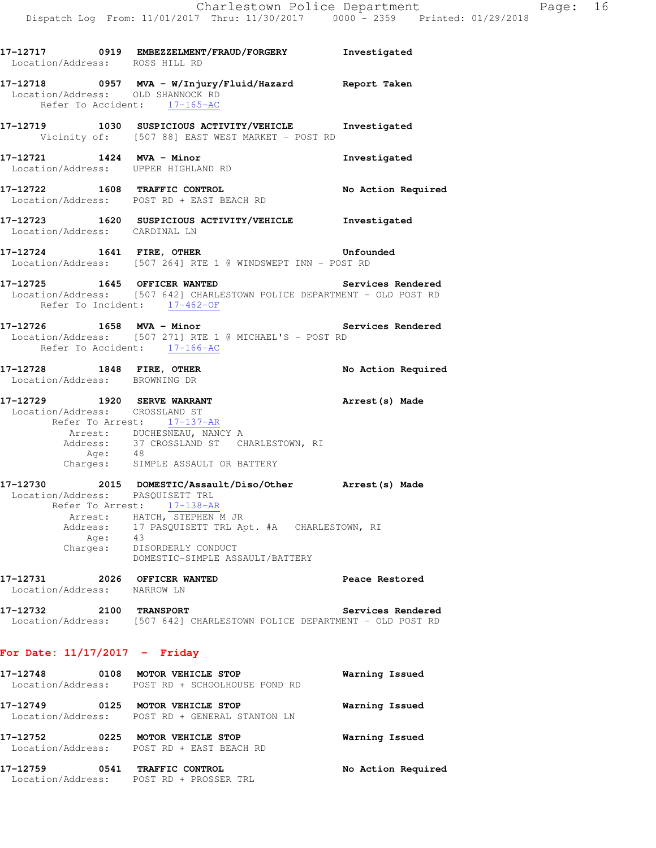| Location/Address: ROSS HILL RD    | 17-12717 0919 EMBEZZELMENT/FRAUD/FORGERY Investigated                                                      |                    |
|-----------------------------------|------------------------------------------------------------------------------------------------------------|--------------------|
| Location/Address: OLD SHANNOCK RD | 17-12718      0957   MVA - W/Injury/Fluid/Hazard      Report Taken<br>Refer To Accident: 17-165-AC         |                    |
|                                   | 17-12719 1030 SUSPICIOUS ACTIVITY/VEHICLE Investigated<br>Vicinity of: [507 88] EAST WEST MARKET - POST RD |                    |
| 17-12721 1424 MVA - Minor         | Location/Address: UPPER HIGHLAND RD                                                                        | Investigated       |
|                                   | 17-12722 1608 TRAFFIC CONTROL<br>Location/Address: POST RD + EAST BEACH RD                                 | No Action Required |
| Location/Address: CARDINAL LN     | 17-12723 1620 SUSPICIOUS ACTIVITY/VEHICLE                                                                  | Investigated       |
|                                   | 17-12724 1641 FIRE, OTHER<br>Location/Address: [507 264] RTE 1 @ WINDSWEPT INN - POST RD                   | Unfounded          |
|                                   |                                                                                                            |                    |

- **17-12725 1645 OFFICER WANTED Services Rendered**  Location/Address: [507 642] CHARLESTOWN POLICE DEPARTMENT - OLD POST RD Refer To Incident: 17-462-OF
- **17-12726 1658 MVA Minor Services Rendered**  Location/Address: [507 271] RTE 1 @ MICHAEL'S - POST RD Refer To Accident: 17-166-AC
- **17-12728 1848 FIRE, OTHER No Action Required**  Location/Address: BROWNING DR

#### **17-12729 1920 SERVE WARRANT Arrest(s) Made**  Location/Address: CROSSLAND ST Refer To Arrest: 17-137-AR Arrest: DUCHESNEAU, NANCY A Address: 37 CROSSLAND ST CHARLESTOWN, RI Age: 48

Charges: SIMPLE ASSAULT OR BATTERY

- **17-12730 2015 DOMESTIC/Assault/Diso/Other Arrest(s) Made**  Location/Address: PASQUISETT TRL Refer To Arrest: 17-138-AR Arrest: HATCH, STEPHEN M JR Address: 17 PASQUISETT TRL Apt. #A CHARLESTOWN, RI Age: 43 Charges: DISORDERLY CONDUCT DOMESTIC-SIMPLE ASSAULT/BATTERY
- **17-12731 2026 OFFICER WANTED Peace Restored**  Location/Address: NARROW LN
- **17-12732 2100 TRANSPORT Services Rendered**  Location/Address: [507 642] CHARLESTOWN POLICE DEPARTMENT - OLD POST RD

### **For Date: 11/17/2017 - Friday**

| 17-12748<br>Location/Address: | 0108 | MOTOR VEHICLE STOP<br>POST RD + SCHOOLHOUSE POND RD             | Warning Issued     |
|-------------------------------|------|-----------------------------------------------------------------|--------------------|
| 17-12749<br>Location/Address: | 0125 | MOTOR VEHICLE STOP<br>POST RD + GENERAL STANTON LN              | Warning Issued     |
| 17–12752                      | 0225 | MOTOR VEHICLE STOP<br>Location/Address: POST RD + EAST BEACH RD | Warning Issued     |
| 17–12759<br>Location/Address: | 0541 | TRAFFIC CONTROL<br>POST RD + PROSSER TRL                        | No Action Required |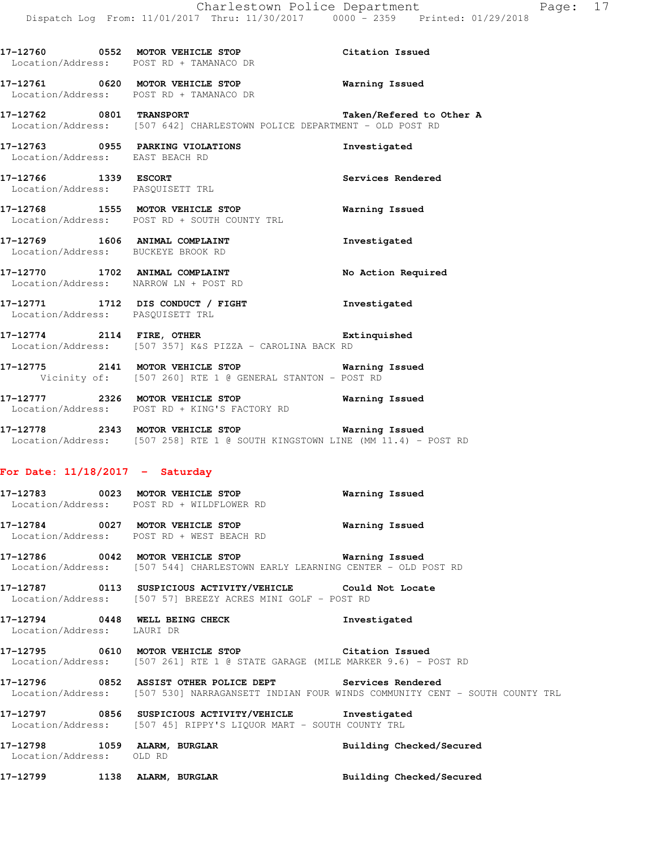|                                                                      | 17-12760 0552 MOTOR VEHICLE STOP Citation Issued<br>Location/Address: POST RD + TAMANACO DR                   |                          |
|----------------------------------------------------------------------|---------------------------------------------------------------------------------------------------------------|--------------------------|
|                                                                      | 17-12761 0620 MOTOR VEHICLE STOP 6 Warning Issued<br>Location/Address: POST RD + TAMANACO DR                  |                          |
|                                                                      | 17-12762 0801 TRANSPORT<br>Location/Address: [507 642] CHARLESTOWN POLICE DEPARTMENT - OLD POST RD            | Taken/Refered to Other A |
| Location/Address: EAST BEACH RD                                      | 17-12763 0955 PARKING VIOLATIONS                                                                              | Investigated             |
| 17-12766 1339 ESCORT<br>Location/Address: PASOUISETT TRL             |                                                                                                               | <b>Services Rendered</b> |
|                                                                      | 17-12768 1555 MOTOR VEHICLE STOP<br>Location/Address: POST RD + SOUTH COUNTY TRL                              | Warning Issued           |
| 17-12769 1606 ANIMAL COMPLAINT<br>Location/Address: BUCKEYE BROOK RD |                                                                                                               | Investigated             |
| Location/Address: NARROW LN + POST RD                                | 17-12770 1702 ANIMAL COMPLAINT                                                                                | No Action Required       |
| Location/Address: PASQUISETT TRL                                     | 17-12771 1712 DIS CONDUCT / FIGHT 1nvestigated                                                                |                          |
|                                                                      | 17-12774 2114 FIRE, OTHER Extinguished<br>Location/Address: [507 357] K&S PIZZA - CAROLINA BACK RD            |                          |
|                                                                      | 17-12775 2141 MOTOR VEHICLE STOP 6 Warning Issued<br>Vicinity of: [507 260] RTE 1 @ GENERAL STANTON - POST RD |                          |

**17-12777 2326 MOTOR VEHICLE STOP Warning Issued**  Location/Address: POST RD + KING'S FACTORY RD

**17-12778 2343 MOTOR VEHICLE STOP Warning Issued**  Location/Address: [507 258] RTE 1 @ SOUTH KINGSTOWN LINE (MM 11.4) - POST RD

#### **For Date: 11/18/2017 - Saturday**

## **17-12783 0023 MOTOR VEHICLE STOP Warning Issued**  Location/Address: POST RD + WILDFLOWER RD

**17-12784 0027 MOTOR VEHICLE STOP Warning Issued**  Location/Address: POST RD + WEST BEACH RD

**17-12786 0042 MOTOR VEHICLE STOP Warning Issued**  Location/Address: [507 544] CHARLESTOWN EARLY LEARNING CENTER - OLD POST RD

**17-12787 0113 SUSPICIOUS ACTIVITY/VEHICLE Could Not Locate**  Location/Address: [507 57] BREEZY ACRES MINI GOLF - POST RD

**17-12794 0448 WELL BEING CHECK Investigated**  Location/Address: LAURI DR

**17-12795 0610 MOTOR VEHICLE STOP Citation Issued**  Location/Address: [507 261] RTE 1 @ STATE GARAGE (MILE MARKER 9.6) - POST RD

**17-12796 0852 ASSIST OTHER POLICE DEPT Services Rendered**  Location/Address: [507 530] NARRAGANSETT INDIAN FOUR WINDS COMMUNITY CENT - SOUTH COUNTY TRL

**17-12797 0856 SUSPICIOUS ACTIVITY/VEHICLE Investigated**  Location/Address: [507 45] RIPPY'S LIQUOR MART - SOUTH COUNTY TRL

**17-12798 1059 ALARM, BURGLAR Building Checked/Secured**  Location/Address: OLD RD

**17-12799 1138 ALARM, BURGLAR Building Checked/Secured**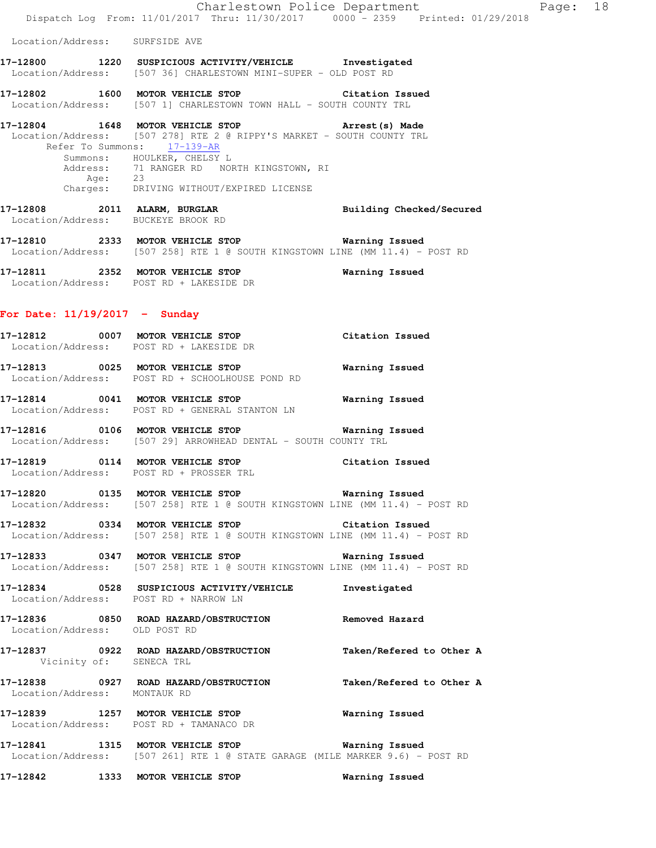|                                       | Charlestown Police Department<br>Dispatch Log From: 11/01/2017 Thru: 11/30/2017 0000 - 2359 Printed: 01/29/2018                                                                                                                                                                                     |                          | Page: 18 |  |
|---------------------------------------|-----------------------------------------------------------------------------------------------------------------------------------------------------------------------------------------------------------------------------------------------------------------------------------------------------|--------------------------|----------|--|
| Location/Address: SURFSIDE AVE        |                                                                                                                                                                                                                                                                                                     |                          |          |  |
|                                       | 17-12800 1220 SUSPICIOUS ACTIVITY/VEHICLE Investigated<br>Location/Address: [507 36] CHARLESTOWN MINI-SUPER - OLD POST RD                                                                                                                                                                           |                          |          |  |
|                                       | 17-12802 1600 MOTOR VEHICLE STOP Citation Issued<br>Location/Address: [507 1] CHARLESTOWN TOWN HALL - SOUTH COUNTY TRL                                                                                                                                                                              |                          |          |  |
|                                       | 17-12804 1648 MOTOR VEHICLE STOP 17-12804 Arrest (s) Made<br>Location/Address: [507 278] RTE 2 @ RIPPY'S MARKET - SOUTH COUNTY TRL<br>Refer To Summons: 17-139-AR<br>Summons: HOULKER, CHELSY L<br>Address: 71 RANGER RD NORTH KINGSTOWN, RI<br>Age: 23<br>Charges: DRIVING WITHOUT/EXPIRED LICENSE |                          |          |  |
| Location/Address: BUCKEYE BROOK RD    | 17-12808 2011 ALARM, BURGLAR                                                                                                                                                                                                                                                                        | Building Checked/Secured |          |  |
|                                       | 17-12810 2333 MOTOR VEHICLE STOP 6 Warning Issued<br>Location/Address: [507 258] RTE 1 @ SOUTH KINGSTOWN LINE (MM 11.4) - POST RD                                                                                                                                                                   |                          |          |  |
|                                       | 17-12811 2352 MOTOR VEHICLE STOP<br>Location/Address: POST RD + LAKESIDE DR                                                                                                                                                                                                                         | Warning Issued           |          |  |
| For Date: $11/19/2017$ - Sunday       |                                                                                                                                                                                                                                                                                                     |                          |          |  |
|                                       | 17-12812 0007 MOTOR VEHICLE STOP<br>Location/Address: POST RD + LAKESIDE DR                                                                                                                                                                                                                         | Citation Issued          |          |  |
|                                       | 17-12813 0025 MOTOR VEHICLE STOP<br>Location/Address: POST RD + SCHOOLHOUSE POND RD                                                                                                                                                                                                                 | Warning Issued           |          |  |
|                                       | 17-12814 0041 MOTOR VEHICLE STOP<br>Location/Address: POST RD + GENERAL STANTON LN                                                                                                                                                                                                                  | Warning Issued           |          |  |
|                                       | Location/Address: [507 29] ARROWHEAD DENTAL - SOUTH COUNTY TRL                                                                                                                                                                                                                                      |                          |          |  |
| 17-12819 0114 MOTOR VEHICLE STOP      | Location/Address: POST RD + PROSSER TRL                                                                                                                                                                                                                                                             | Citation Issued          |          |  |
|                                       | Location/Address: $[507 258]$ RTE 1 @ SOUTH KINGSTOWN LINE (MM 11.4) - POST RD                                                                                                                                                                                                                      |                          |          |  |
|                                       | 17-12832 0334 MOTOR VEHICLE STOP Citation Issued<br>Location/Address: [507 258] RTE 1 @ SOUTH KINGSTOWN LINE (MM 11.4) - POST RD                                                                                                                                                                    |                          |          |  |
|                                       | 17-12833 0347 MOTOR VEHICLE STOP<br>Location/Address: [507 258] RTE 1 @ SOUTH KINGSTOWN LINE (MM 11.4) - POST RD                                                                                                                                                                                    | Warning Issued           |          |  |
| Location/Address: POST RD + NARROW LN | 17-12834 0528 SUSPICIOUS ACTIVITY/VEHICLE                                                                                                                                                                                                                                                           | Investigated             |          |  |
| Location/Address: OLD POST RD         | 17-12836 6850 ROAD HAZARD/OBSTRUCTION Removed Hazard                                                                                                                                                                                                                                                |                          |          |  |
| Vicinity of: SENECA TRL               | 17-12837 0922 ROAD HAZARD/OBSTRUCTION Taken/Refered to Other A                                                                                                                                                                                                                                      |                          |          |  |
| Location/Address: MONTAUK RD          | 17-12838 0927 ROAD HAZARD/OBSTRUCTION                                                                                                                                                                                                                                                               | Taken/Refered to Other A |          |  |
|                                       | 17-12839 1257 MOTOR VEHICLE STOP<br>Location/Address: POST RD + TAMANACO DR                                                                                                                                                                                                                         | Warning Issued           |          |  |
|                                       | 17-12841 1315 MOTOR VEHICLE STOP 6 Warning Issued<br>Location/Address: [507 261] RTE 1 @ STATE GARAGE (MILE MARKER 9.6) - POST RD                                                                                                                                                                   |                          |          |  |
| 17-12842 1333 MOTOR VEHICLE STOP      |                                                                                                                                                                                                                                                                                                     | Warning Issued           |          |  |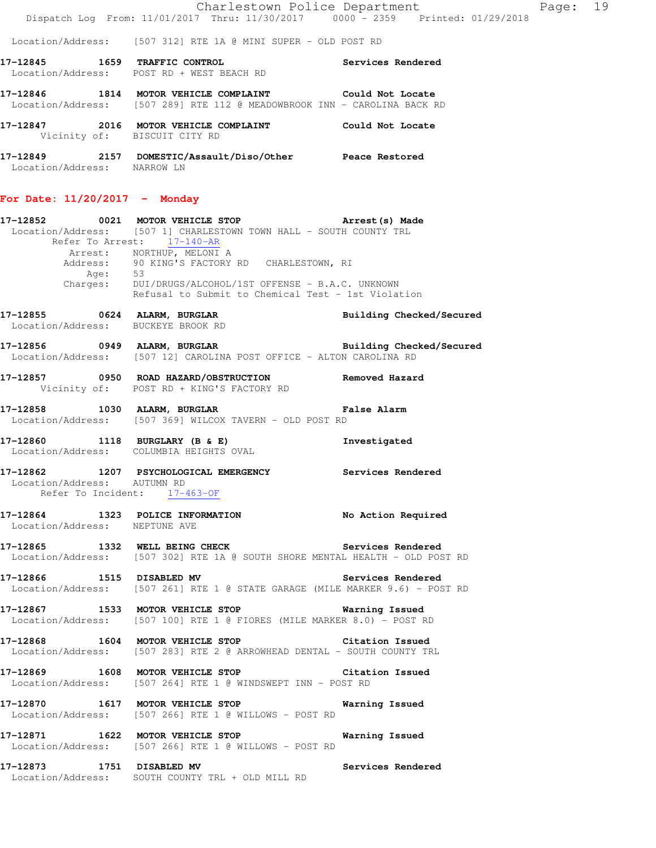|  |  | Charlestown Police Department                                                  | Page: 19 |  |
|--|--|--------------------------------------------------------------------------------|----------|--|
|  |  | Dispatch Log From: 11/01/2017 Thru: 11/30/2017 0000 - 2359 Printed: 01/29/2018 |          |  |

Location/Address: [507 312] RTE 1A @ MINI SUPER - OLD POST RD

| 17-12845<br>Location/Address: | 1659 | TRAFFIC CONTROL<br>POST RD + WEST BEACH RD                                                          | Services Rendered |
|-------------------------------|------|-----------------------------------------------------------------------------------------------------|-------------------|
| 17-12846                      | 1814 | MOTOR VEHICLE COMPLAINT<br>Location/Address: [507 289] RTE 112 @ MEADOWBROOK INN - CAROLINA BACK RD | Could Not Locate  |
| 17-12847                      | 2016 | MOTOR VEHICLE COMPLAINT<br>Vicinity of: BISCUIT CITY RD                                             | Could Not Locate  |
| 17-12849<br>Location/Address: | 2157 | DOMESTIC/Assault/Diso/Other<br>NARROW LN                                                            | Peace Restored    |

# **For Date: 11/20/2017 - Monday**

|                               |      | 17-12852 0021 MOTOR VEHICLE STOP <b>Arrest(s)</b> Made                                                                           |                                 |
|-------------------------------|------|----------------------------------------------------------------------------------------------------------------------------------|---------------------------------|
|                               |      | Location/Address: [507 1] CHARLESTOWN TOWN HALL - SOUTH COUNTY TRL<br>Refer To Arrest: 17-140-AR                                 |                                 |
|                               | Age: | Arrest: NORTHUP, MELONI A<br>Address: 90 KING'S FACTORY RD CHARLESTOWN, RI<br>53                                                 |                                 |
|                               |      | Charges: DUI/DRUGS/ALCOHOL/1ST OFFENSE - B.A.C. UNKNOWN<br>Refusal to Submit to Chemical Test - 1st Violation                    |                                 |
|                               |      | 17-12855 0624 ALARM, BURGLAR<br>Location/Address: BUCKEYE BROOK RD                                                               | <b>Building Checked/Secured</b> |
|                               |      | 17-12856 0949 ALARM, BURGLAR Building Checked/Secured<br>Location/Address: [507 12] CAROLINA POST OFFICE - ALTON CAROLINA RD     |                                 |
|                               |      | 17-12857 0950 ROAD HAZARD/OBSTRUCTION Removed Hazard<br>Vicinity of: POST RD + KING'S FACTORY RD                                 |                                 |
|                               |      | 17-12858 1030 ALARM, BURGLAR 10 False Alarm<br>Location/Address: [507 369] WILCOX TAVERN - OLD POST RD                           |                                 |
|                               |      | 17-12860 1118 BURGLARY (B & E) Investigated<br>Location/Address: COLUMBIA HEIGHTS OVAL                                           |                                 |
| Location/Address: AUTUMN RD   |      | 17-12862 1207 PSYCHOLOGICAL EMERGENCY Services Rendered<br>Refer To Incident: 17-463-OF                                          |                                 |
|                               |      | 17-12864 1323 POLICE INFORMATION No Action Required<br>Location/Address: NEPTUNE AVE                                             |                                 |
|                               |      | 17-12865 1332 WELL BEING CHECK Services Rendered<br>Location/Address: [507 302] RTE 1A @ SOUTH SHORE MENTAL HEALTH - OLD POST RD |                                 |
|                               |      | 17-12866 1515 DISABLED MV Services Rendered<br>Location/Address: [507 261] RTE 1 @ STATE GARAGE (MILE MARKER 9.6) - POST RD      |                                 |
|                               |      | 17-12867 1533 MOTOR VEHICLE STOP Warning Issued<br>Location/Address: [507 100] RTE 1 @ FIORES (MILE MARKER 8.0) - POST RD        |                                 |
|                               |      | 17-12868 1604 MOTOR VEHICLE STOP 6 Citation Issued<br>Location/Address: [507 283] RTE 2 @ ARROWHEAD DENTAL - SOUTH COUNTY TRL    |                                 |
|                               |      | 17-12869 1608 MOTOR VEHICLE STOP Citation Issued<br>Location/Address: [507 264] RTE 1 @ WINDSWEPT INN - POST RD                  |                                 |
| 17-12870<br>Location/Address: |      | 1617 MOTOR VEHICLE STOP<br>[507 266] RTE 1 @ WILLOWS - POST RD                                                                   | Warning Issued                  |
| 17-12871<br>Location/Address: |      | 1622 MOTOR VEHICLE STOP<br>[507 266] RTE 1 @ WILLOWS - POST RD                                                                   | Warning Issued                  |
| 17-12873 1751 DISABLED MV     |      | Location/Address: SOUTH COUNTY TRL + OLD MILL RD                                                                                 | Services Rendered               |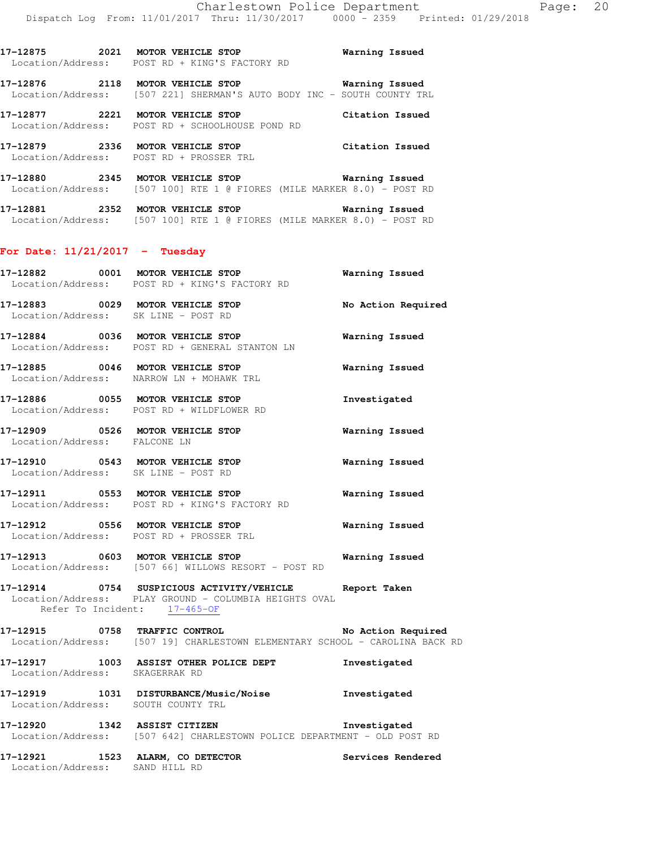**17-12875 2021 MOTOR VEHICLE STOP Warning Issued**  Location/Address: POST RD + KING'S FACTORY RD

**17-12876 2118 MOTOR VEHICLE STOP Warning Issued**  Location/Address: [507 221] SHERMAN'S AUTO BODY INC - SOUTH COUNTY TRL

**17-12877 2221 MOTOR VEHICLE STOP Citation Issued**  Location/Address: POST RD + SCHOOLHOUSE POND RD

**17-12879 2336 MOTOR VEHICLE STOP Citation Issued**  Location/Address: POST RD + PROSSER TRL

**17-12880 2345 MOTOR VEHICLE STOP Warning Issued**  Location/Address: [507 100] RTE 1 @ FIORES (MILE MARKER 8.0) - POST RD

**17-12881 2352 MOTOR VEHICLE STOP Warning Issued**  Location/Address: [507 100] RTE 1 @ FIORES (MILE MARKER 8.0) - POST RD

#### **For Date: 11/21/2017 - Tuesday**

|                                    | 17-12882 0001 MOTOR VEHICLE STOP<br>Location/Address: POST RD + KING'S FACTORY RD                                                               | Warning Issued        |
|------------------------------------|-------------------------------------------------------------------------------------------------------------------------------------------------|-----------------------|
|                                    | 17-12883 0029 MOTOR VEHICLE STOP<br>Location/Address: SK LINE - POST RD                                                                         | No Action Required    |
|                                    | 17-12884 0036 MOTOR VEHICLE STOP 6 Warning Issued<br>Location/Address: POST RD + GENERAL STANTON LN                                             |                       |
|                                    | 17-12885 0046 MOTOR VEHICLE STOP<br>Location/Address: NARROW LN + MOHAWK TRL                                                                    | Warning Issued        |
|                                    | 17-12886 0055 MOTOR VEHICLE STOP<br>Location/Address: POST RD + WILDFLOWER RD                                                                   | Investigated          |
|                                    | 17-12909 0526 MOTOR VEHICLE STOP<br>Location/Address: FALCONE LN                                                                                | Warning Issued        |
|                                    | 17-12910 0543 MOTOR VEHICLE STOP<br>Location/Address: SK LINE - POST RD                                                                         | <b>Warning Issued</b> |
|                                    | 17-12911 0553 MOTOR VEHICLE STOP<br>Location/Address: POST RD + KING'S FACTORY RD                                                               | <b>Warning Issued</b> |
|                                    | 17-12912 0556 MOTOR VEHICLE STOP<br>Location/Address: POST RD + PROSSER TRL                                                                     | <b>Warning Issued</b> |
|                                    | Location/Address: [507 66] WILLOWS RESORT - POST RD                                                                                             |                       |
|                                    | 17-12914 0754 SUSPICIOUS ACTIVITY/VEHICLE Report Taken<br>Location/Address: PLAY GROUND - COLUMBIA HEIGHTS OVAL<br>Refer To Incident: 17-465-OF |                       |
|                                    | 17-12915 0758 TRAFFIC CONTROL No Action Required<br>Location/Address: [507 19] CHARLESTOWN ELEMENTARY SCHOOL - CAROLINA BACK RD                 |                       |
| Location/Address: SKAGERRAK RD     | 17-12917 1003 ASSIST OTHER POLICE DEPT                                                                                                          | Investigated          |
| Location/Address: SOUTH COUNTY TRL | 17-12919 1031 DISTURBANCE/Music/Noise                                                                                                           | Investigated          |

**17-12920 1342 ASSIST CITIZEN Investigated**  Location/Address: [507 642] CHARLESTOWN POLICE DEPARTMENT - OLD POST RD

**17-12921 1523 ALARM, CO DETECTOR Services Rendered**  Location/Address: SAND HILL RD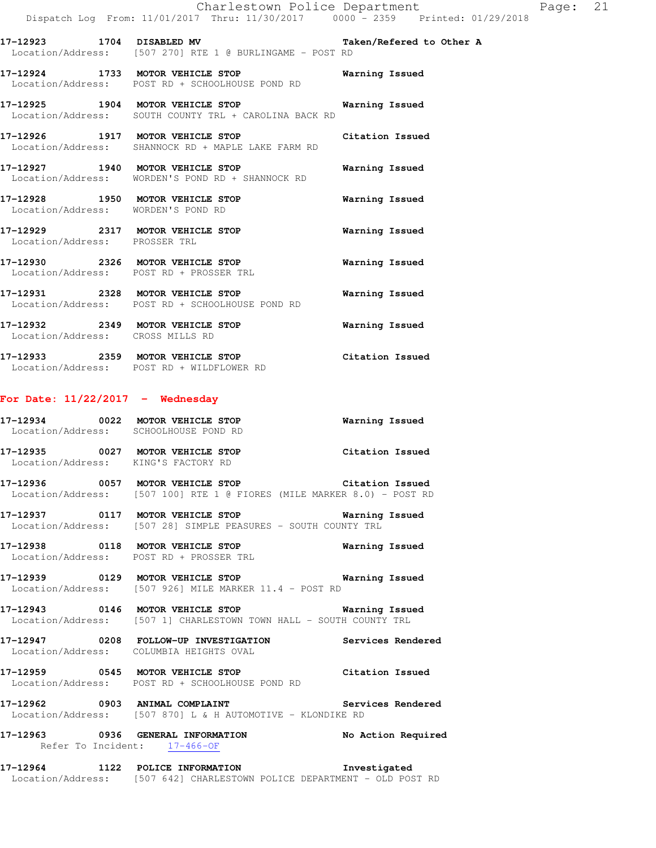**17-12923 1704 DISABLED MV Taken/Refered to Other A**  Location/Address: [507 270] RTE 1 @ BURLINGAME - POST RD

**17-12924 1733 MOTOR VEHICLE STOP Warning Issued**  Location/Address: POST RD + SCHOOLHOUSE POND RD

**17-12925 1904 MOTOR VEHICLE STOP Warning Issued**  Location/Address: SOUTH COUNTY TRL + CAROLINA BACK RD

**17-12926 1917 MOTOR VEHICLE STOP Citation Issued**  Location/Address: SHANNOCK RD + MAPLE LAKE FARM RD

**17-12927 1940 MOTOR VEHICLE STOP Warning Issued**  Location/Address: WORDEN'S POND RD + SHANNOCK RD

**17-12928 1950 MOTOR VEHICLE STOP Warning Issued**  Location/Address: WORDEN'S POND RD

**17-12929 2317 MOTOR VEHICLE STOP Warning Issued**  Location/Address: PROSSER TRL

**17-12930 2326 MOTOR VEHICLE STOP Warning Issued**  Location/Address: POST RD + PROSSER TRL

**17-12931 2328 MOTOR VEHICLE STOP Warning Issued**  Location/Address: POST RD + SCHOOLHOUSE POND RD

**17-12932 2349 MOTOR VEHICLE STOP Warning Issued**  Location/Address: CROSS MILLS RD

**17-12933 2359 MOTOR VEHICLE STOP Citation Issued**  Location/Address: POST RD + WILDFLOWER RD

#### **For Date: 11/22/2017 - Wednesday**

| .<br>$\cdots$     |                     | ________       |
|-------------------|---------------------|----------------|
| Location/Address: | SCHOOLHOUSE POND RD |                |
| 17-12934<br>0022  | MOTOR VEHICLE STOP  | Warning Issued |

**17-12935 0027 MOTOR VEHICLE STOP Citation Issued**  Location/Address: KING'S FACTORY RD

**17-12936 0057 MOTOR VEHICLE STOP Citation Issued**  Location/Address: [507 100] RTE 1 @ FIORES (MILE MARKER 8.0) - POST RD

**17-12937 0117 MOTOR VEHICLE STOP Warning Issued**  Location/Address: [507 28] SIMPLE PEASURES - SOUTH COUNTY TRL

**17-12938 0118 MOTOR VEHICLE STOP Warning Issued**  Location/Address: POST RD + PROSSER TRL

**17-12939 0129 MOTOR VEHICLE STOP Warning Issued**  Location/Address: [507 926] MILE MARKER 11.4 - POST RD

**17-12943 0146 MOTOR VEHICLE STOP Warning Issued**  Location/Address: [507 1] CHARLESTOWN TOWN HALL - SOUTH COUNTY TRL

**17-12947 0208 FOLLOW-UP INVESTIGATION Services Rendered**  Location/Address: COLUMBIA HEIGHTS OVAL

**17-12959 0545 MOTOR VEHICLE STOP Citation Issued**  Location/Address: POST RD + SCHOOLHOUSE POND RD

**17-12962 0903 ANIMAL COMPLAINT Services Rendered**  Location/Address: [507 870] L & H AUTOMOTIVE - KLONDIKE RD

**17-12963 0936 GENERAL INFORMATION No Action Required**  Refer To Incident: 17-466-OF

**17-12964 1122 POLICE INFORMATION Investigated**  Location/Address: [507 642] CHARLESTOWN POLICE DEPARTMENT - OLD POST RD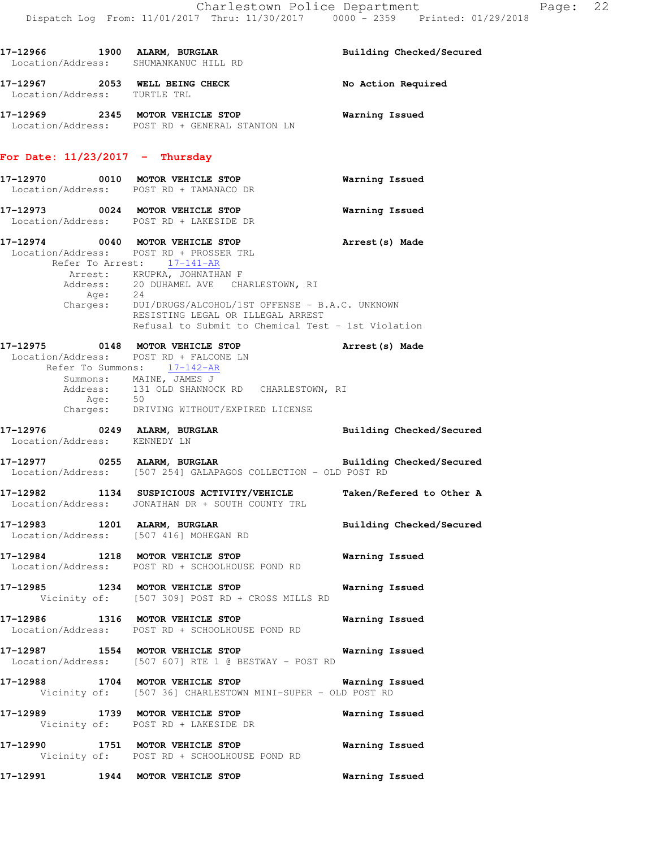|                                   | 17-12966 1900 ALARM, BURGLAR<br>Location/Address: SHUMANKANUC HILL RD                                                                                                                                                                                                                                                                                                 | Building Checked/Secured                                           |
|-----------------------------------|-----------------------------------------------------------------------------------------------------------------------------------------------------------------------------------------------------------------------------------------------------------------------------------------------------------------------------------------------------------------------|--------------------------------------------------------------------|
|                                   | 17-12967 2053 WELL BEING CHECK<br>Location/Address: TURTLE TRL                                                                                                                                                                                                                                                                                                        | No Action Required                                                 |
|                                   | 17-12969 2345 MOTOR VEHICLE STOP<br>Location/Address: POST RD + GENERAL STANTON LN                                                                                                                                                                                                                                                                                    | <b>Warning Issued</b>                                              |
| For Date: $11/23/2017$ - Thursday |                                                                                                                                                                                                                                                                                                                                                                       |                                                                    |
|                                   | 17-12970 0010 MOTOR VEHICLE STOP 6 Warning Issued<br>Location/Address: POST RD + TAMANACO DR                                                                                                                                                                                                                                                                          |                                                                    |
|                                   | 17-12973 0024 MOTOR VEHICLE STOP<br>Location/Address: POST RD + LAKESIDE DR                                                                                                                                                                                                                                                                                           | <b>Warning Issued</b>                                              |
|                                   | 17-12974 0040 MOTOR VEHICLE STOP (Arrest (s) Made<br>Location/Address: POST RD + PROSSER TRL<br>Refer To Arrest: 17-141-AR<br>Arrest: KRUPKA, JOHNATHAN F<br>Address: 20 DUHAMEL AVE CHARLESTOWN, RI<br>Age: 24<br>Charges: DUI/DRUGS/ALCOHOL/1ST OFFENSE - B.A.C. UNKNOWN<br>RESISTING LEGAL OR ILLEGAL ARREST<br>Refusal to Submit to Chemical Test - 1st Violation |                                                                    |
|                                   | $17-12975$ 0148 MOTOR VEHICLE STOP<br>Location/Address: POST RD + FALCONE LN<br>Refer To Summons: 17-142-AR                                                                                                                                                                                                                                                           | Arrest (s) Made                                                    |
|                                   | Summons: MAINE, JAMES J<br>Address: 131 OLD SHANNOCK RD CHARLESTOWN, RI<br>Age: 50<br>Charges: DRIVING WITHOUT/EXPIRED LICENSE                                                                                                                                                                                                                                        |                                                                    |
|                                   | 17-12976 0249 ALARM, BURGLAR<br>Location/Address: KENNEDY LN                                                                                                                                                                                                                                                                                                          | <b>Building Checked/Secured</b>                                    |
|                                   | $17-12977$ 0255 ALARM, BURGLAR<br>Location/Address: [507 254] GALAPAGOS COLLECTION - OLD POST RD                                                                                                                                                                                                                                                                      | Building Checked/Secured                                           |
|                                   | Location/Address: JONATHAN DR + SOUTH COUNTY TRL                                                                                                                                                                                                                                                                                                                      | 17-12982 1134 SUSPICIOUS ACTIVITY/VEHICLE Taken/Refered to Other A |
|                                   | 17-12983 1201 ALARM, BURGLAR<br>Location/Address: [507 416] MOHEGAN RD                                                                                                                                                                                                                                                                                                | Building Checked/Secured                                           |
|                                   | 17-12984 1218 MOTOR VEHICLE STOP<br>Location/Address: POST RD + SCHOOLHOUSE POND RD                                                                                                                                                                                                                                                                                   | Warning Issued                                                     |
|                                   | 17-12985 1234 MOTOR VEHICLE STOP<br>Vicinity of: [507 309] POST RD + CROSS MILLS RD                                                                                                                                                                                                                                                                                   | Warning Issued                                                     |
|                                   | 17-12986 1316 MOTOR VEHICLE STOP<br>Location/Address: POST RD + SCHOOLHOUSE POND RD                                                                                                                                                                                                                                                                                   | Warning Issued                                                     |
|                                   | 17-12987 1554 MOTOR VEHICLE STOP<br>Location/Address: [507 607] RTE 1 @ BESTWAY - POST RD                                                                                                                                                                                                                                                                             | Warning Issued                                                     |
|                                   | 17-12988 1704 MOTOR VEHICLE STOP 6 Warning Issued<br>Vicinity of: [507 36] CHARLESTOWN MINI-SUPER - OLD POST RD                                                                                                                                                                                                                                                       |                                                                    |
|                                   | 17-12989 1739 MOTOR VEHICLE STOP<br>Vicinity of: POST RD + LAKESIDE DR                                                                                                                                                                                                                                                                                                | Warning Issued                                                     |
|                                   | 17-12990 1751 MOTOR VEHICLE STOP<br>Vicinity of: POST RD + SCHOOLHOUSE POND RD                                                                                                                                                                                                                                                                                        | Warning Issued                                                     |
|                                   | 17-12991 1944 MOTOR VEHICLE STOP                                                                                                                                                                                                                                                                                                                                      | <b>Warning Issued</b>                                              |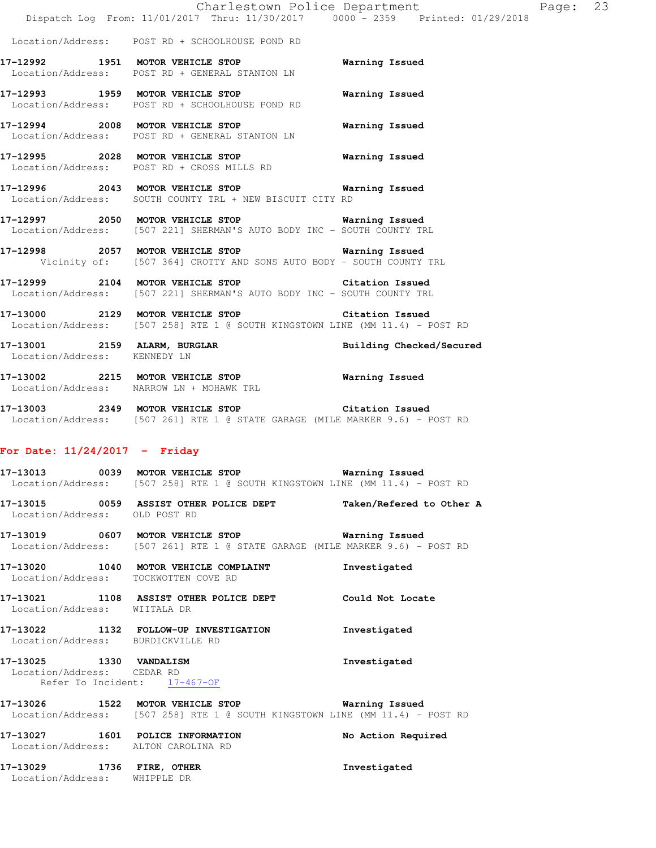|                                                           | Dispatch Log From: 11/01/2017 Thru: 11/30/2017 0000 - 2359 Printed: 01/29/2018                                                                      | Charlestown Police Department<br>Page: 23 |  |
|-----------------------------------------------------------|-----------------------------------------------------------------------------------------------------------------------------------------------------|-------------------------------------------|--|
|                                                           | Location/Address: POST RD + SCHOOLHOUSE POND RD                                                                                                     |                                           |  |
|                                                           | 17-12992 1951 MOTOR VEHICLE STOP<br>Location/Address: POST RD + GENERAL STANTON LN                                                                  | Warning Issued                            |  |
|                                                           | 17-12993 1959 MOTOR VEHICLE STOP<br>Location/Address: POST RD + SCHOOLHOUSE POND RD                                                                 | Warning Issued                            |  |
|                                                           | 17-12994 2008 MOTOR VEHICLE STOP<br>Location/Address: POST RD + GENERAL STANTON LN                                                                  | Warning Issued                            |  |
|                                                           | 17-12995 2028 MOTOR VEHICLE STOP 6 Warning Issued<br>Location/Address: POST RD + CROSS MILLS RD                                                     |                                           |  |
|                                                           | 17-12996 2043 MOTOR VEHICLE STOP 6 Warning Issued<br>Location/Address: SOUTH COUNTY TRL + NEW BISCUIT CITY RD                                       |                                           |  |
|                                                           | 17-12997 2050 MOTOR VEHICLE STOP <b>Warning Issued</b><br>Location/Address: [507 221] SHERMAN'S AUTO BODY INC - SOUTH COUNTY TRL                    |                                           |  |
|                                                           | 17-12998 2057 MOTOR VEHICLE STOP 6 Warning Issued<br>Vicinity of: [507 364] CROTTY AND SONS AUTO BODY - SOUTH COUNTY TRL                            |                                           |  |
|                                                           | 17-12999 2104 MOTOR VEHICLE STOP Citation Issued<br>Location/Address: [507 221] SHERMAN'S AUTO BODY INC - SOUTH COUNTY TRL                          |                                           |  |
|                                                           | 17-13000 2129 MOTOR VEHICLE STOP Citation Issued<br>Location/Address: [507 258] RTE 1 @ SOUTH KINGSTOWN LINE (MM 11.4) - POST RD                    |                                           |  |
| Location/Address: KENNEDY LN                              | 17-13001 2159 ALARM, BURGLAR                                                                                                                        | Building Checked/Secured                  |  |
|                                                           | 17-13002 2215 MOTOR VEHICLE STOP<br>Location/Address: NARROW LN + MOHAWK TRL                                                                        | Warning Issued                            |  |
|                                                           | 17-13003 2349 MOTOR VEHICLE STOP Citation Issued<br>Location/Address: [507 261] RTE 1 @ STATE GARAGE (MILE MARKER 9.6) - POST RD                    |                                           |  |
| For Date: $11/24/2017$ - Friday                           |                                                                                                                                                     |                                           |  |
|                                                           | 17-13013 6039 MOTOR VEHICLE STOP 60 Warning Issued<br>Location/Address: [507 258] RTE 1 @ SOUTH KINGSTOWN LINE (MM 11.4) - POST RD                  |                                           |  |
| Location/Address: OLD POST RD                             | 17-13015 0059 ASSIST OTHER POLICE DEPT                                                                                                              | Taken/Refered to Other A                  |  |
|                                                           | 17-13019 0607 MOTOR VEHICLE STOP <b>WATILLE STOP</b> Warning Issued<br>Location/Address: [507 261] RTE 1 @ STATE GARAGE (MILE MARKER 9.6) - POST RD |                                           |  |
| Location/Address: TOCKWOTTEN COVE RD                      | 17-13020 1040 MOTOR VEHICLE COMPLAINT                                                                                                               | Investigated                              |  |
| Location/Address: WIITALA DR                              | 17-13021 1108 ASSIST OTHER POLICE DEPT Could Not Locate                                                                                             |                                           |  |
| Location/Address: BURDICKVILLE RD                         | 17-13022 1132 FOLLOW-UP INVESTIGATION                                                                                                               | Investigated                              |  |
| 17-13025 1330 VANDALISM<br>Location/Address: CEDAR RD     | Refer To Incident: 17-467-OF                                                                                                                        | Investigated                              |  |
|                                                           | 17-13026 1522 MOTOR VEHICLE STOP <b>Warning Issued</b><br>Location/Address: [507 258] RTE 1 @ SOUTH KINGSTOWN LINE (MM 11.4) - POST RD              |                                           |  |
| Location/Address: ALTON CAROLINA RD                       | 17-13027 1601 POLICE INFORMATION                                                                                                                    | No Action Required                        |  |
| 17-13029 1736 FIRE, OTHER<br>Location/Address: WHIPPLE DR |                                                                                                                                                     | Investigated                              |  |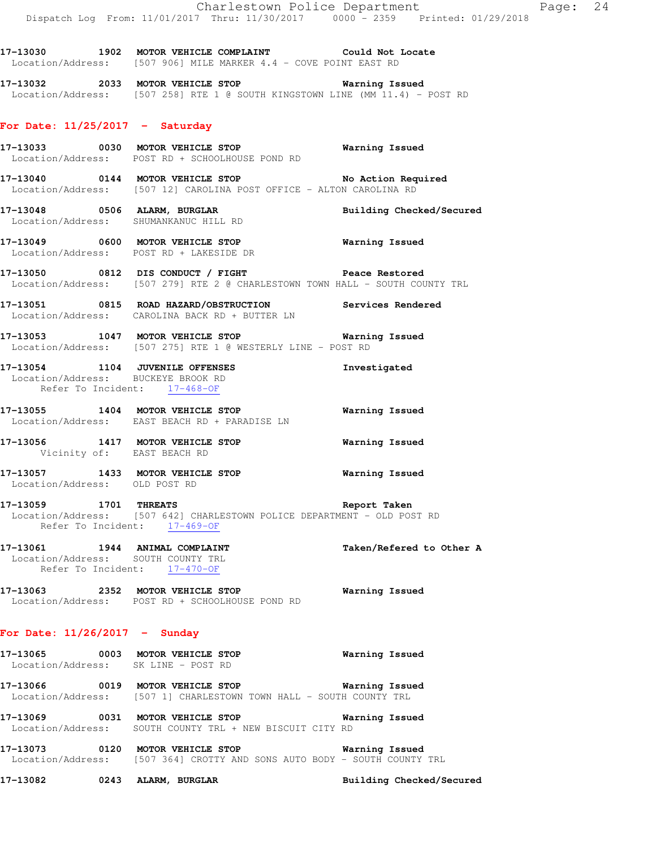**17-13030 1902 MOTOR VEHICLE COMPLAINT Could Not Locate**  Location/Address: [507 906] MILE MARKER 4.4 - COVE POINT EAST RD

**17-13032 2033 MOTOR VEHICLE STOP Warning Issued**  Location/Address: [507 258] RTE 1 @ SOUTH KINGSTOWN LINE (MM 11.4) - POST RD

## **For Date: 11/25/2017 - Saturday**

- **17-13033 0030 MOTOR VEHICLE STOP Warning Issued**  Location/Address: POST RD + SCHOOLHOUSE POND RD
- **17-13040 0144 MOTOR VEHICLE STOP No Action Required**  Location/Address: [507 12] CAROLINA POST OFFICE - ALTON CAROLINA RD
- **17-13048 0506 ALARM, BURGLAR Building Checked/Secured**  Location/Address: SHUMANKANUC HILL RD
- **17-13049 0600 MOTOR VEHICLE STOP Warning Issued**  Location/Address: POST RD + LAKESIDE DR
- **17-13050 0812 DIS CONDUCT / FIGHT Peace Restored**  Location/Address: [507 279] RTE 2 @ CHARLESTOWN TOWN HALL - SOUTH COUNTY TRL
- **17-13051 0815 ROAD HAZARD/OBSTRUCTION Services Rendered**  Location/Address: CAROLINA BACK RD + BUTTER LN
- **17-13053 1047 MOTOR VEHICLE STOP Warning Issued**  Location/Address: [507 275] RTE 1 @ WESTERLY LINE - POST RD

#### **17-13054 1104 JUVENILE OFFENSES Investigated**  Location/Address: BUCKEYE BROOK RD Refer To Incident: 17-468-OF

- **17-13055 1404 MOTOR VEHICLE STOP Warning Issued**  Location/Address: EAST BEACH RD + PARADISE LN
- **17-13056 1417 MOTOR VEHICLE STOP Warning Issued**  Vicinity of: EAST BEACH RD
- **17-13057 1433 MOTOR VEHICLE STOP Warning Issued**  Location/Address: OLD POST RD
- **17-13059 1701 THREATS Report Taken**  Location/Address: [507 642] CHARLESTOWN POLICE DEPARTMENT - OLD POST RD Refer To Incident: 17-469-OF
- **17-13061 1944 ANIMAL COMPLAINT Taken/Refered to Other A**  Location/Address: SOUTH COUNTY TRL Refer To Incident: 17-470-OF
- **17-13063 2352 MOTOR VEHICLE STOP Warning Issued**  Location/Address: POST RD + SCHOOLHOUSE POND RD

## **For Date: 11/26/2017 - Sunday**

- **17-13065 0003 MOTOR VEHICLE STOP Warning Issued**  Location/Address: SK LINE - POST RD
- **17-13066 0019 MOTOR VEHICLE STOP Warning Issued**  Location/Address: [507 1] CHARLESTOWN TOWN HALL - SOUTH COUNTY TRL
- **17-13069 0031 MOTOR VEHICLE STOP Warning Issued**  Location/Address: SOUTH COUNTY TRL + NEW BISCUIT CITY RD
- **17-13073 0120 MOTOR VEHICLE STOP Warning Issued**  Location/Address: [507 364] CROTTY AND SONS AUTO BODY - SOUTH COUNTY TRL
- **17-13082 0243 ALARM, BURGLAR Building Checked/Secured**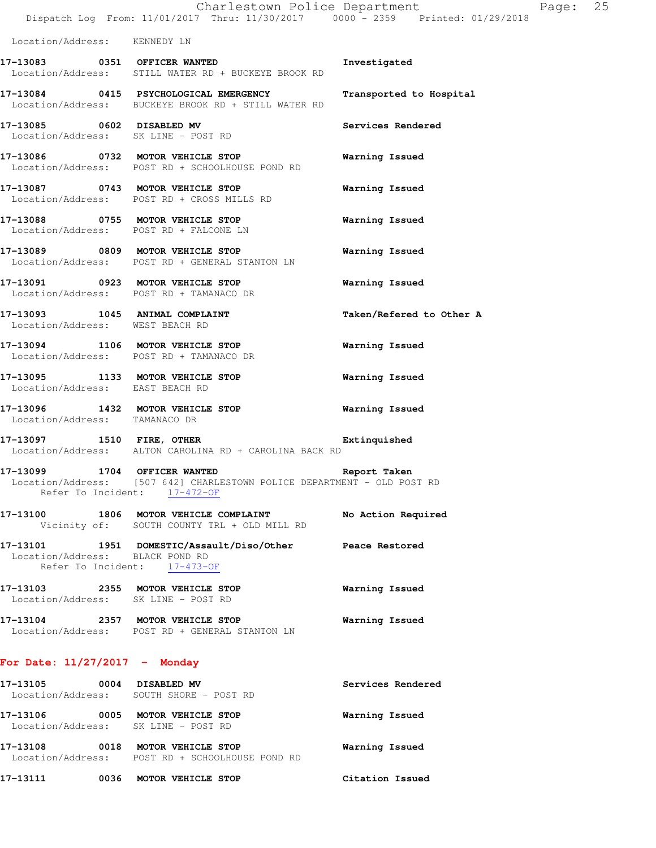|                                     | Charlestown Police Department<br>Dispatch Log From: 11/01/2017 Thru: 11/30/2017 0000 - 2359 Printed: 01/29/2018 |                          | Page: 25 |  |
|-------------------------------------|-----------------------------------------------------------------------------------------------------------------|--------------------------|----------|--|
| Location/Address: KENNEDY LN        |                                                                                                                 |                          |          |  |
|                                     | 17-13083 0351 OFFICER WANTED<br>Location/Address: STILL WATER RD + BUCKEYE BROOK RD                             | Investigated             |          |  |
|                                     | 17-13084 0415 PSYCHOLOGICAL EMERGENCY<br>Location/Address: BUCKEYE BROOK RD + STILL WATER RD                    | Transported to Hospital  |          |  |
|                                     | 17-13085 0602 DISABLED MV<br>Location/Address: SK LINE - POST RD                                                | Services Rendered        |          |  |
|                                     | 17-13086 0732 MOTOR VEHICLE STOP<br>Location/Address: POST RD + SCHOOLHOUSE POND RD                             | Warning Issued           |          |  |
|                                     | 17-13087 0743 MOTOR VEHICLE STOP<br>Location/Address: POST RD + CROSS MILLS RD                                  | Warning Issued           |          |  |
|                                     | 17-13088 0755 MOTOR VEHICLE STOP<br>Location/Address: POST RD + FALCONE LN                                      | Warning Issued           |          |  |
|                                     | 17-13089 0809 MOTOR VEHICLE STOP<br>Location/Address: POST RD + GENERAL STANTON LN                              | Warning Issued           |          |  |
|                                     | 17-13091 0923 MOTOR VEHICLE STOP<br>Location/Address: POST RD + TAMANACO DR                                     | Warning Issued           |          |  |
| Location/Address: WEST BEACH RD     | 17-13093 1045 ANIMAL COMPLAINT                                                                                  | Taken/Refered to Other A |          |  |
|                                     | 17-13094 1106 MOTOR VEHICLE STOP<br>Location/Address: POST RD + TAMANACO DR                                     | Warning Issued           |          |  |
| Location/Address: EAST BEACH RD     | 17-13095 1133 MOTOR VEHICLE STOP                                                                                | Warning Issued           |          |  |
| Location/Address: TAMANACO DR       | 17-13096 1432 MOTOR VEHICLE STOP                                                                                | Warning Issued           |          |  |
| 17-13097 1510 FIRE, OTHER           | Location/Address: ALTON CAROLINA RD + CAROLINA BACK RD                                                          | Extinquished             |          |  |
| 17-13099 1704 OFFICER WANTED        | Location/Address: [507 642] CHARLESTOWN POLICE DEPARTMENT - OLD POST RD<br>Refer To Incident: 17-472-OF         | Report Taken             |          |  |
|                                     | 17-13100 1806 MOTOR VEHICLE COMPLAINT<br>Vicinity of: SOUTH COUNTY TRL + OLD MILL RD                            | No Action Required       |          |  |
| Location/Address: BLACK POND RD     | 17-13101 1951 DOMESTIC/Assault/Diso/Other Peace Restored<br>Refer To Incident: 17-473-OF                        |                          |          |  |
| Location/Address: SK LINE - POST RD | 17-13103 2355 MOTOR VEHICLE STOP                                                                                | Warning Issued           |          |  |
|                                     | 17-13104 2357 MOTOR VEHICLE STOP<br>Location/Address: POST RD + GENERAL STANTON LN                              | Warning Issued           |          |  |
| For Date: $11/27/2017$ - Monday     |                                                                                                                 |                          |          |  |
| 17-13105 0004 DISABLED MV           | Location/Address: SOUTH SHORE - POST RD                                                                         | Services Rendered        |          |  |

**17-13106 0005 MOTOR VEHICLE STOP Warning Issued**  Location/Address: SK LINE - POST RD **17-13108 0018 MOTOR VEHICLE STOP Warning Issued**  Location/Address: POST RD + SCHOOLHOUSE POND RD

**17-13111 0036 MOTOR VEHICLE STOP Citation Issued**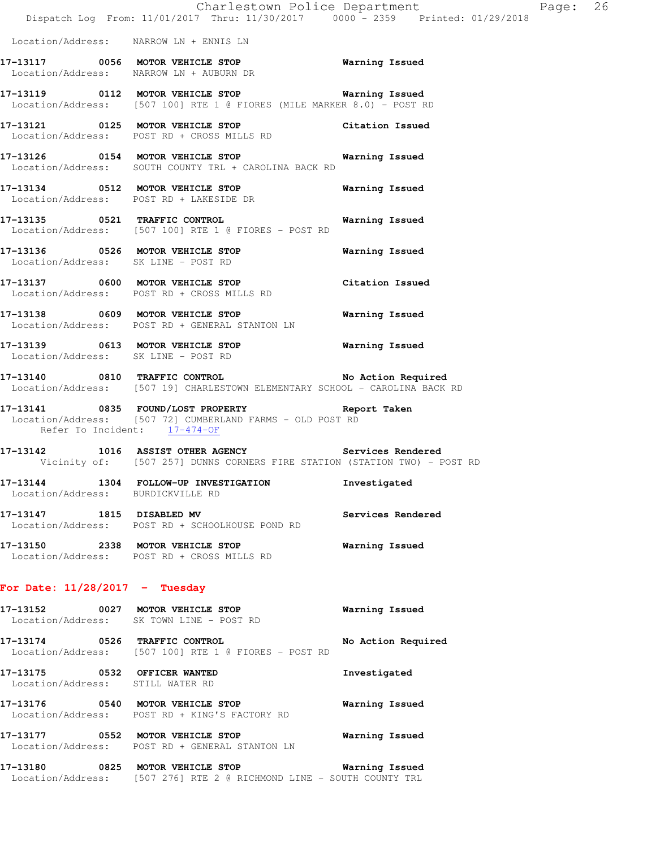|                                                                  | Dispatch Log From: 11/01/2017 Thru: 11/30/2017 0000 - 2359 Printed: 01/29/2018                                                   | Charlestown Police Department | Page: 26 |  |
|------------------------------------------------------------------|----------------------------------------------------------------------------------------------------------------------------------|-------------------------------|----------|--|
|                                                                  | Location/Address: NARROW LN + ENNIS LN                                                                                           |                               |          |  |
|                                                                  | 17-13117 0056 MOTOR VEHICLE STOP Warning Issued<br>Location/Address: NARROW LN + AUBURN DR                                       |                               |          |  |
|                                                                  | 17-13119 0112 MOTOR VEHICLE STOP 6 Warning Issued<br>Location/Address: [507 100] RTE 1 @ FIORES (MILE MARKER 8.0) - POST RD      |                               |          |  |
|                                                                  | 17-13121 0125 MOTOR VEHICLE STOP Citation Issued<br>Location/Address: POST RD + CROSS MILLS RD                                   |                               |          |  |
|                                                                  | 17-13126 0154 MOTOR VEHICLE STOP 6 Warning Issued<br>Location/Address: SOUTH COUNTY TRL + CAROLINA BACK RD                       |                               |          |  |
|                                                                  | 17-13134 0512 MOTOR VEHICLE STOP 6 Warning Issued<br>Location/Address: POST RD + LAKESIDE DR                                     |                               |          |  |
|                                                                  | 17-13135 0521 TRAFFIC CONTROL <b>17-13135</b> Warning Issued<br>Location/Address: [507 100] RTE 1 @ FIORES - POST RD             |                               |          |  |
|                                                                  | 17-13136 0526 MOTOR VEHICLE STOP 6 Warning Issued<br>Location/Address: SK LINE - POST RD                                         |                               |          |  |
|                                                                  | 17-13137 0600 MOTOR VEHICLE STOP Citation Issued<br>Location/Address: POST RD + CROSS MILLS RD                                   |                               |          |  |
|                                                                  | 17-13138 0609 MOTOR VEHICLE STOP 600 Warning Issued<br>Location/Address: POST RD + GENERAL STANTON LN                            |                               |          |  |
|                                                                  | 17-13139 0613 MOTOR VEHICLE STOP 6 Warning Issued<br>Location/Address: SK LINE - POST RD                                         |                               |          |  |
|                                                                  | 17-13140 0810 TRAFFIC CONTROL No Action Required<br>Location/Address: [507 19] CHARLESTOWN ELEMENTARY SCHOOL - CAROLINA BACK RD  |                               |          |  |
|                                                                  | 17-13141 0835 FOUND/LOST PROPERTY<br>Location/Address: [507 72] CUMBERLAND FARMS - OLD POST RD<br>Refer To Incident: 17-474-OF   | Report Taken                  |          |  |
|                                                                  | 17-13142 1016 ASSIST OTHER AGENCY Services Rendered<br>Vicinity of: [507 257] DUNNS CORNERS FIRE STATION (STATION TWO) - POST RD |                               |          |  |
| Location/Address: BURDICKVILLE RD                                | 17-13144 1304 FOLLOW-UP INVESTIGATION                                                                                            | Investigated                  |          |  |
| 17-13147 1815 DISABLED MV                                        | Location/Address: POST RD + SCHOOLHOUSE POND RD                                                                                  | Services Rendered             |          |  |
|                                                                  | 17-13150 2338 MOTOR VEHICLE STOP<br>Location/Address: POST RD + CROSS MILLS RD                                                   | Warning Issued                |          |  |
| For Date: $11/28/2017$ - Tuesday                                 |                                                                                                                                  |                               |          |  |
|                                                                  | 17-13152 0027 MOTOR VEHICLE STOP<br>Location/Address: SK TOWN LINE - POST RD                                                     | Warning Issued                |          |  |
|                                                                  | 17-13174 0526 TRAFFIC CONTROL<br>Location/Address: [507 100] RTE 1 @ FIORES - POST RD                                            | No Action Required            |          |  |
| 17-13175 0532 OFFICER WANTED<br>Location/Address: STILL WATER RD |                                                                                                                                  | Investigated                  |          |  |
|                                                                  | 17-13176 0540 MOTOR VEHICLE STOP<br>Location/Address: POST RD + KING'S FACTORY RD                                                | Warning Issued                |          |  |
|                                                                  | 17-13177 0552 MOTOR VEHICLE STOP<br>Location/Address: POST RD + GENERAL STANTON LN                                               | Warning Issued                |          |  |

**17-13180 0825 MOTOR VEHICLE STOP Warning Issued**  Location/Address: [507 276] RTE 2 @ RICHMOND LINE - SOUTH COUNTY TRL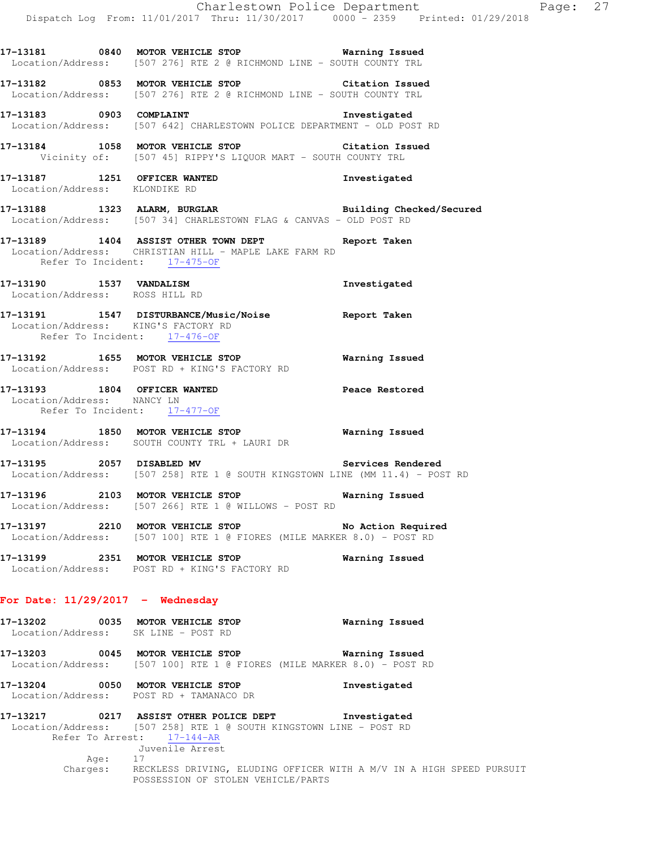**17-13181 0840 MOTOR VEHICLE STOP Warning Issued**  Location/Address: [507 276] RTE 2 @ RICHMOND LINE - SOUTH COUNTY TRL **17-13182 0853 MOTOR VEHICLE STOP Citation Issued**  Location/Address: [507 276] RTE 2 @ RICHMOND LINE - SOUTH COUNTY TRL **17-13183 0903 COMPLAINT Investigated**  Location/Address: [507 642] CHARLESTOWN POLICE DEPARTMENT - OLD POST RD **17-13184 1058 MOTOR VEHICLE STOP Citation Issued**  Vicinity of: [507 45] RIPPY'S LIQUOR MART - SOUTH COUNTY TRL **17-13187 1251 OFFICER WANTED Investigated**  Location/Address: KLONDIKE RD **17-13188 1323 ALARM, BURGLAR Building Checked/Secured**  Location/Address: [507 34] CHARLESTOWN FLAG & CANVAS - OLD POST RD **17-13189 1404 ASSIST OTHER TOWN DEPT Report Taken**  Location/Address: CHRISTIAN HILL - MAPLE LAKE FARM RD Refer To Incident: 17-475-OF **17-13190 1537 VANDALISM Investigated**  Location/Address: ROSS HILL RD **17-13191 1547 DISTURBANCE/Music/Noise Report Taken**  Location/Address: KING'S FACTORY RD Refer To Incident: 17-476-OF **17-13192 1655 MOTOR VEHICLE STOP Warning Issued**  Location/Address: POST RD + KING'S FACTORY RD **17-13193 1804 OFFICER WANTED Peace Restored**  Location/Address: NANCY LN Refer To Incident: 17-477-OF **17-13194 1850 MOTOR VEHICLE STOP Warning Issued**  Location/Address: SOUTH COUNTY TRL + LAURI DR **17-13195 2057 DISABLED MV Services Rendered**  Location/Address: [507 258] RTE 1 @ SOUTH KINGSTOWN LINE (MM 11.4) - POST RD **17-13196 2103 MOTOR VEHICLE STOP Warning Issued**  Location/Address: [507 266] RTE 1 @ WILLOWS - POST RD **17-13197 2210 MOTOR VEHICLE STOP No Action Required**  Location/Address: [507 100] RTE 1 @ FIORES (MILE MARKER 8.0) - POST RD **17-13199 2351 MOTOR VEHICLE STOP Warning Issued**  Location/Address: POST RD + KING'S FACTORY RD **For Date: 11/29/2017 - Wednesday 17-13202 0035 MOTOR VEHICLE STOP Warning Issued**  Location/Address: SK LINE - POST RD **17-13203 0045 MOTOR VEHICLE STOP Warning Issued**  Location/Address: [507 100] RTE 1 @ FIORES (MILE MARKER 8.0) - POST RD **17-13204 0050 MOTOR VEHICLE STOP Investigated**  Location/Address: POST RD + TAMANACO DR **17-13217 0217 ASSIST OTHER POLICE DEPT Investigated** 

 Location/Address: [507 258] RTE 1 @ SOUTH KINGSTOWN LINE - POST RD Refer To Arrest: 17-144-AR Juvenile Arrest Age: 17 Charges: RECKLESS DRIVING, ELUDING OFFICER WITH A M/V IN A HIGH SPEED PURSUIT POSSESSION OF STOLEN VEHICLE/PARTS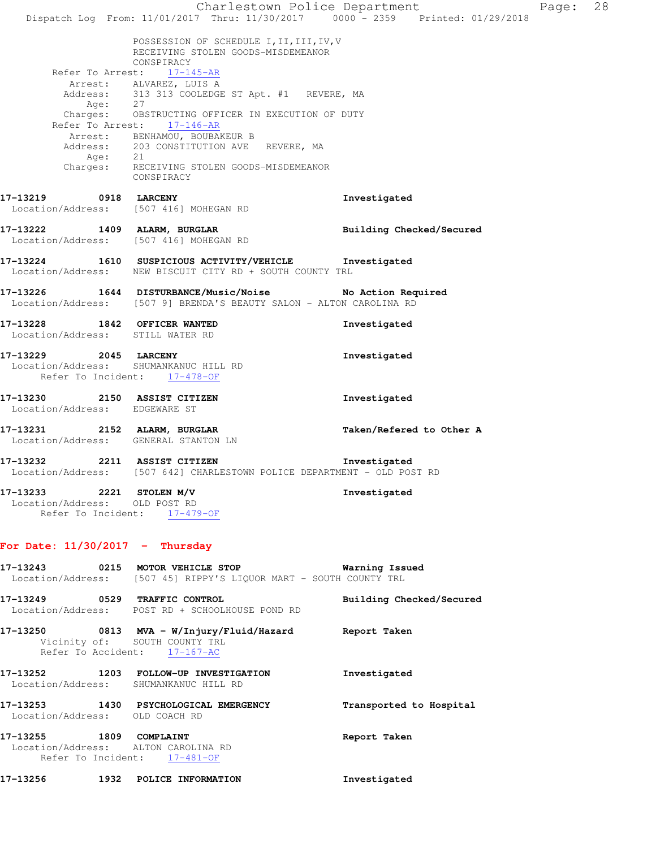Charlestown Police Department Page: 28 Dispatch Log From: 11/01/2017 Thru: 11/30/2017 0000 - 2359 Printed: 01/29/2018 POSSESSION OF SCHEDULE I, II, III, IV, V RECEIVING STOLEN GOODS-MISDEMEANOR CONSPIRACY Refer To Arrest: 17-145-AR Arrest: ALVAREZ, LUIS A Address: 313 313 COOLEDGE ST Apt. #1 REVERE, MA Age: 27 Charges: OBSTRUCTING OFFICER IN EXECUTION OF DUTY Refer To Arrest: 17-146-AR Arrest: BENHAMOU, BOUBAKEUR B Address: 203 CONSTITUTION AVE REVERE, MA Age: 21 Charges: RECEIVING STOLEN GOODS-MISDEMEANOR CONSPIRACY **17-13219 0918 LARCENY Investigated**  Location/Address: [507 416] MOHEGAN RD **17-13222 1409 ALARM, BURGLAR Building Checked/Secured**  Location/Address: [507 416] MOHEGAN RD **17-13224 1610 SUSPICIOUS ACTIVITY/VEHICLE Investigated**  Location/Address: NEW BISCUIT CITY RD + SOUTH COUNTY TRL **17-13226 1644 DISTURBANCE/Music/Noise No Action Required**  Location/Address: [507 9] BRENDA'S BEAUTY SALON - ALTON CAROLINA RD **17-13228 1842 OFFICER WANTED Investigated**  Location/Address: STILL WATER RD **17-13229 2045 LARCENY Investigated**  Location/Address: SHUMANKANUC HILL RD Refer To Incident: 17-478-OF **17-13230 2150 ASSIST CITIZEN Investigated**  Location/Address: EDGEWARE ST **17-13231 2152 ALARM, BURGLAR Taken/Refered to Other A**  Location/Address: GENERAL STANTON LN **17-13232 2211 ASSIST CITIZEN Investigated**  Location/Address: [507 642] CHARLESTOWN POLICE DEPARTMENT - OLD POST RD **17-13233 2221 STOLEN M/V Investigated**  Location/Address: OLD POST RD Refer To Incident: 17-479-OF **For Date: 11/30/2017 - Thursday 17-13243 0215 MOTOR VEHICLE STOP Warning Issued**  Location/Address: [507 45] RIPPY'S LIQUOR MART - SOUTH COUNTY TRL **17-13249 0529 TRAFFIC CONTROL Building Checked/Secured**  Location/Address: POST RD + SCHOOLHOUSE POND RD **17-13250 0813 MVA - W/Injury/Fluid/Hazard Report Taken**  Vicinity of: SOUTH COUNTY TRL Refer To Accident: 17-167-AC **17-13252 1203 FOLLOW-UP INVESTIGATION Investigated**  Location/Address: SHUMANKANUC HILL RD **17-13253 1430 PSYCHOLOGICAL EMERGENCY Transported to Hospital**  Location/Address: OLD COACH RD **17-13255 1809 COMPLAINT Report Taken**  Location/Address: ALTON CAROLINA RD Refer To Incident: 17-481-OF **17-13256 1932 POLICE INFORMATION Investigated**